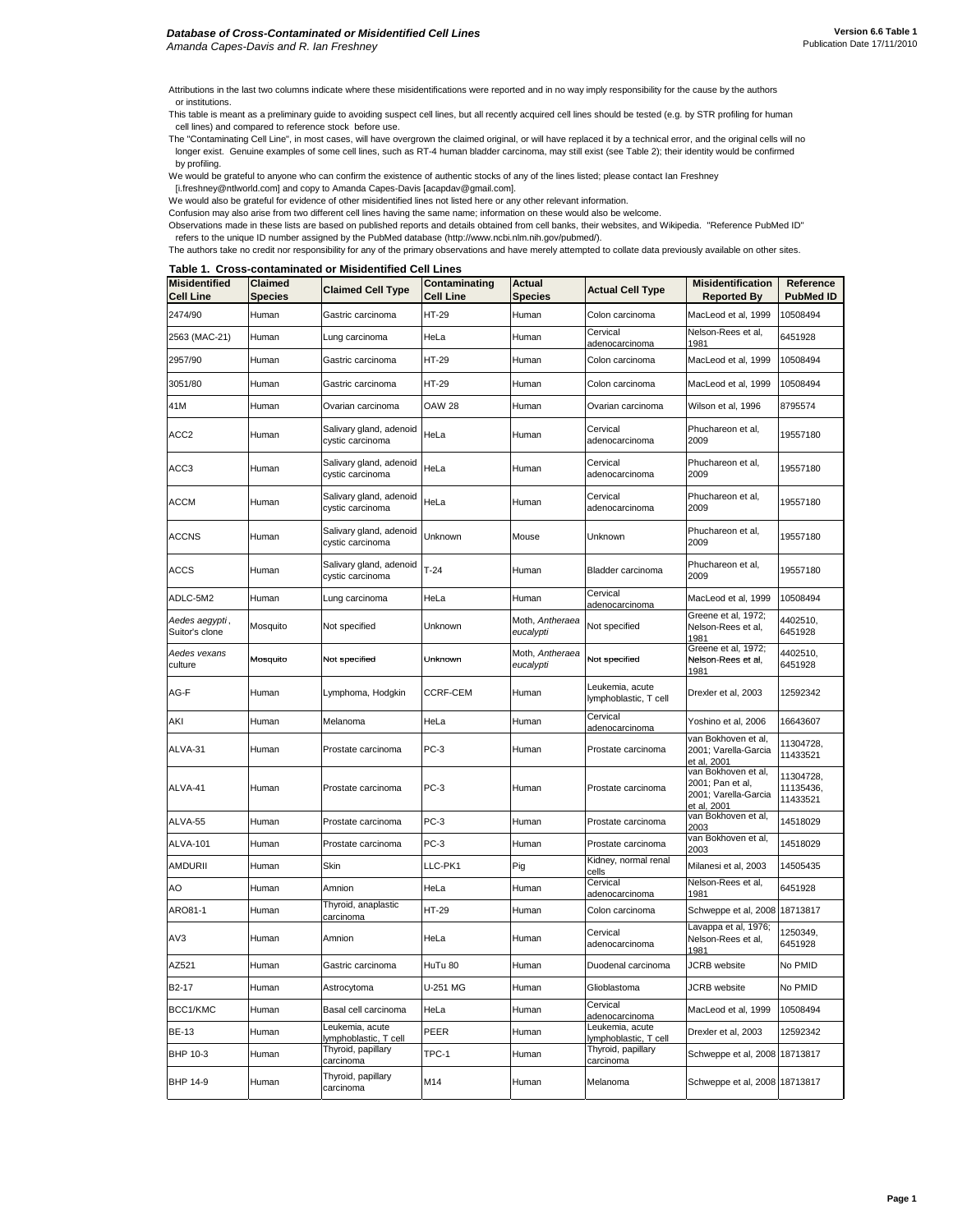Attributions in the last two columns indicate where these misidentifications were reported and in no way imply responsibility for the cause by the authors or institutions.

This table is meant as a preliminary guide to avoiding suspect cell lines, but all recently acquired cell lines should be tested (e.g. by STR profiling for human cell lines) and compared to reference stock before use.

The "Contaminating Cell Line", in most cases, will have overgrown the claimed original, or will have replaced it by a technical error, and the original cells will no longer exist. Genuine examples of some cell lines, such as RT-4 human bladder carcinoma, may still exist (see Table 2); their identity would be confirmed by profiling.

We would be grateful to anyone who can confirm the existence of authentic stocks of any of the lines listed; please contact Ian Freshney

[i.freshney@ntlworld.com] and copy to Amanda Capes-Davis [acapdav@gmail.com].

We would also be grateful for evidence of other misidentified lines not listed here or any other relevant information. Confusion may also arise from two different cell lines having the same name; information on these would also be welcome.

Observations made in these lists are based on published reports and details obtained from cell banks, their websites, and Wikipedia. "Reference PubMed ID"

refers to the unique ID number assigned by the PubMed database (http://www.ncbi.nlm.nih.gov/pubmed/).

The authors take no credit nor responsibility for any of the primary observations and have merely attempted to collate data previously available on other sites.

**Table 1. Cross-contaminated or Misidentified Cell Lines**

| <b>Misidentified</b><br><b>Cell Line</b> | Claimed<br><b>Species</b> | <b>Claimed Cell Type</b>                    | Contaminating<br><b>Cell Line</b> | <b>Actual</b><br><b>Species</b> | <b>Actual Cell Type</b>                  | <b>Misidentification</b><br><b>Reported By</b>                                 | Reference<br><b>PubMed ID</b>      |
|------------------------------------------|---------------------------|---------------------------------------------|-----------------------------------|---------------------------------|------------------------------------------|--------------------------------------------------------------------------------|------------------------------------|
| 2474/90                                  | Human                     | Gastric carcinoma                           | HT-29                             | Human                           | Colon carcinoma                          | MacLeod et al, 1999                                                            | 10508494                           |
| 2563 (MAC-21)                            | Human                     | Lung carcinoma                              | HeLa                              | Human                           | Cervical<br>adenocarcinoma               | Nelson-Rees et al,<br>1981                                                     | 6451928                            |
| 2957/90                                  | Human                     | Gastric carcinoma                           | HT-29                             | Human                           | Colon carcinoma                          | MacLeod et al, 1999                                                            | 10508494                           |
| 3051/80                                  | Human                     | Gastric carcinoma                           | HT-29                             | Human                           | Colon carcinoma                          | MacLeod et al, 1999                                                            | 10508494                           |
| 41M                                      | Human                     | Ovarian carcinoma                           | <b>OAW 28</b>                     | Human                           | Ovarian carcinoma                        | Wilson et al, 1996                                                             | 8795574                            |
| ACC2                                     | Human                     | Salivary gland, adenoid<br>cystic carcinoma | HeLa                              | Human                           | Cervical<br>adenocarcinoma               | Phuchareon et al,<br>2009                                                      | 19557180                           |
| ACC3                                     | Human                     | Salivary gland, adenoid<br>cystic carcinoma | HeLa                              | Human                           | Cervical<br>adenocarcinoma               | Phuchareon et al,<br>2009                                                      | 19557180                           |
| ACCM                                     | Human                     | Salivary gland, adenoid<br>cystic carcinoma | HeLa                              | Human                           | Cervical<br>adenocarcinoma               | Phuchareon et al,<br>2009                                                      | 19557180                           |
| <b>ACCNS</b>                             | Human                     | Salivary gland, adenoid<br>cystic carcinoma | Unknown                           | Mouse                           | Unknown                                  | Phuchareon et al,<br>2009                                                      | 19557180                           |
| <b>ACCS</b>                              | Human                     | Salivary gland, adenoid<br>cystic carcinoma | $T-24$                            | Human                           | Bladder carcinoma                        | Phuchareon et al,<br>2009                                                      | 19557180                           |
| ADLC-5M2                                 | Human                     | Lung carcinoma                              | HeLa                              | Human                           | Cervical<br>adenocarcinoma               | MacLeod et al, 1999                                                            | 10508494                           |
| Aedes aegypti,<br>Suitor's clone         | Mosquito                  | Not specified                               | Unknown                           | Moth, Antheraea<br>eucalypti    | Not specified                            | Greene et al, 1972;<br>Nelson-Rees et al,<br>1981                              | 4402510,<br>6451928                |
| Aedes vexans<br>culture                  | Mosquito                  | Not specified                               | Unknown                           | Moth, Antheraea<br>eucalypti    | Not specified                            | Greene et al, 1972;<br>Nelson-Rees et al,<br>1981                              | 4402510,<br>6451928                |
| AG-F                                     | Human                     | Lymphoma, Hodgkin                           | CCRF-CEM                          | Human                           | Leukemia, acute<br>lymphoblastic, T cell | Drexler et al, 2003                                                            | 12592342                           |
| AKI                                      | Human                     | Melanoma                                    | HeLa                              | Human                           | Cervical<br>adenocarcinoma               | Yoshino et al, 2006                                                            | 16643607                           |
| ALVA-31                                  | Human                     | Prostate carcinoma                          | $PC-3$                            | Human                           | Prostate carcinoma                       | van Bokhoven et al,<br>2001; Varella-Garcia<br>et al, 2001                     | 11304728,<br>11433521              |
| ALVA-41                                  | Human                     | Prostate carcinoma                          | $PC-3$                            | Human                           | Prostate carcinoma                       | van Bokhoven et al,<br>2001; Pan et al,<br>2001; Varella-Garcia<br>et al, 2001 | 11304728,<br>11135436,<br>11433521 |
| ALVA-55                                  | Human                     | Prostate carcinoma                          | $PC-3$                            | Human                           | Prostate carcinoma                       | van Bokhoven et al,<br>2003                                                    | 14518029                           |
| <b>ALVA-101</b>                          | Human                     | Prostate carcinoma                          | $PC-3$                            | Human                           | Prostate carcinoma                       | van Bokhoven et al,<br>2003                                                    | 14518029                           |
| AMDURII                                  | Human                     | Skin                                        | LLC-PK1                           | Pig                             | Kidney, normal renal<br>cells            | Milanesi et al, 2003                                                           | 14505435                           |
| AO                                       | Human                     | Amnion                                      | HeLa                              | Human                           | Cervical<br>adenocarcinoma               | Nelson-Rees et al,<br>1981                                                     | 6451928                            |
| ARO81-1                                  | Human                     | Thyroid, anaplastic<br>carcinoma            | HT-29                             | Human                           | Colon carcinoma                          | Schweppe et al, 2008                                                           | 18713817                           |
| AV3                                      | Human                     | Amnion                                      | HeLa                              | Human                           | Cervical<br>adenocarcinoma               | Lavappa et al, 1976;<br>Nelson-Rees et al,<br>1981                             | 1250349,<br>6451928                |
| AZ521                                    | Human                     | Gastric carcinoma                           | HuTu 80                           | Human                           | Duodenal carcinoma                       | JCRB website                                                                   | No PMID                            |
| B2-17                                    | Human                     | Astrocytoma                                 | U-251 MG                          | Human                           | Glioblastoma                             | JCRB website                                                                   | No PMID                            |
| BCC1/KMC                                 | Human                     | Basal cell carcinoma                        | HeLa                              | Human                           | Cervical<br>adenocarcinoma               | MacLeod et al, 1999                                                            | 10508494                           |
| <b>BE-13</b>                             | Human                     | Leukemia, acute<br>lymphoblastic, T cell    | PEER                              | Human                           | Leukemia, acute<br>lymphoblastic, T cell | Drexler et al, 2003                                                            | 12592342                           |
| BHP 10-3                                 | Human                     | Thyroid, papillary<br>carcinoma             | TPC-1                             | Human                           | Thyroid, papillary<br>carcinoma          | Schweppe et al, 2008                                                           | 18713817                           |
| BHP 14-9                                 | Human                     | Thyroid, papillary<br>carcinoma             | M14                               | Human                           | Melanoma                                 | Schweppe et al, 2008                                                           | 18713817                           |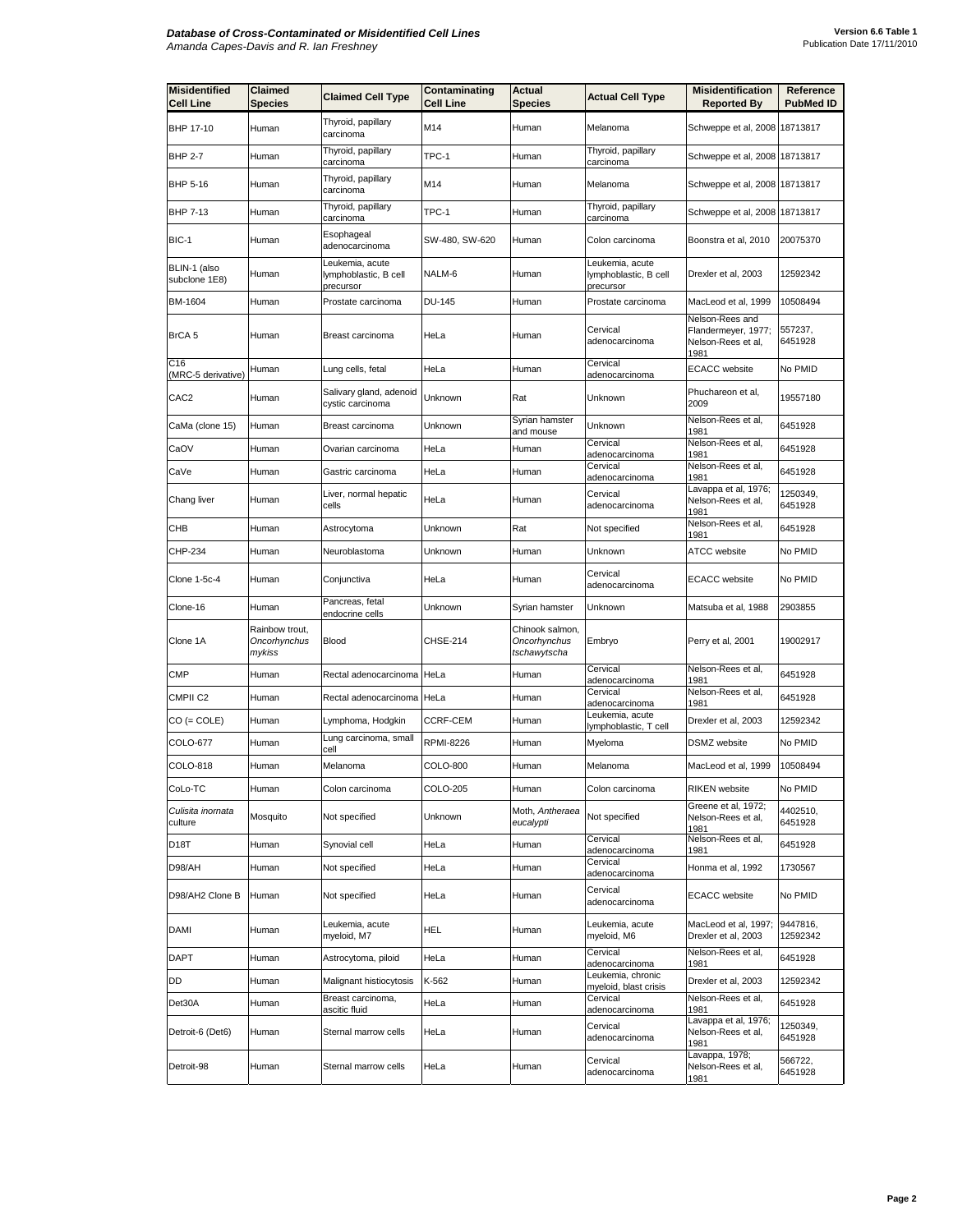| <b>Misidentified</b><br><b>Cell Line</b> | Claimed<br><b>Species</b>                | <b>Claimed Cell Type</b>                              | Contaminating<br>Cell Line | Actual<br><b>Species</b>                        | <b>Actual Cell Type</b>                               | <b>Misidentification</b><br><b>Reported By</b>                       | Reference<br><b>PubMed ID</b> |
|------------------------------------------|------------------------------------------|-------------------------------------------------------|----------------------------|-------------------------------------------------|-------------------------------------------------------|----------------------------------------------------------------------|-------------------------------|
| BHP 17-10                                | Human                                    | Thyroid, papillary<br>carcinoma                       | M14                        | Human                                           | Melanoma                                              | Schweppe et al, 2008 18713817                                        |                               |
| <b>BHP 2-7</b>                           | Human                                    | Thyroid, papillary<br>carcinoma                       | TPC-1                      | Human                                           | Thyroid, papillary<br>carcinoma                       | Schweppe et al, 2008 18713817                                        |                               |
| BHP 5-16                                 | Human                                    | Thyroid, papillary<br>carcinoma                       | M14                        | Human                                           | Melanoma                                              | Schweppe et al, 2008 18713817                                        |                               |
| BHP 7-13                                 | Human                                    | Thyroid, papillary<br>carcinoma                       | TPC-1                      | Human                                           | Thyroid, papillary<br>carcinoma                       | Schweppe et al, 2008 18713817                                        |                               |
| BIC-1                                    | Human                                    | Esophageal<br>adenocarcinoma                          | SW-480, SW-620             | Human                                           | Colon carcinoma                                       | Boonstra et al, 2010                                                 | 20075370                      |
| BLIN-1 (also<br>subclone 1E8)            | Human                                    | Leukemia, acute<br>lymphoblastic, B cell<br>precursor | NALM-6                     | Human                                           | Leukemia, acute<br>lymphoblastic, B cell<br>precursor | Drexler et al, 2003                                                  | 12592342                      |
| BM-1604                                  | Human                                    | Prostate carcinoma                                    | <b>DU-145</b>              | Human                                           | Prostate carcinoma                                    | MacLeod et al, 1999                                                  | 10508494                      |
| BrCA 5                                   | Human                                    | Breast carcinoma                                      | HeLa                       | Human                                           | Cervical<br>adenocarcinoma                            | Nelson-Rees and<br>Flandermeyer, 1977;<br>Nelson-Rees et al,<br>1981 | 557237,<br>6451928            |
| C <sub>16</sub><br>(MRC-5 derivative)    | Human                                    | Lung cells, fetal                                     | HeLa                       | Human                                           | Cervical<br>adenocarcinoma                            | <b>ECACC</b> website                                                 | No PMID                       |
| CAC <sub>2</sub>                         | Human                                    | Salivary gland, adenoid<br>cystic carcinoma           | Unknown                    | Rat                                             | Unknown                                               | Phuchareon et al,<br>2009                                            | 19557180                      |
| CaMa (clone 15)                          | Human                                    | Breast carcinoma                                      | Unknown                    | Syrian hamster<br>and mouse                     | Unknown                                               | Nelson-Rees et al,<br>1981                                           | 6451928                       |
| CaOV                                     | Human                                    | Ovarian carcinoma                                     | HeLa                       | Human                                           | Cervical<br>adenocarcinoma                            | Nelson-Rees et al,<br>1981                                           | 6451928                       |
| CaVe                                     | Human                                    | Gastric carcinoma                                     | HeLa                       | Human                                           | Cervical<br>adenocarcinoma                            | Nelson-Rees et al,<br>1981                                           | 6451928                       |
| Chang liver                              | Human                                    | Liver, normal hepatic<br>cells                        | HeLa                       | Human                                           | Cervical<br>adenocarcinoma                            | Lavappa et al, 1976;<br>Nelson-Rees et al,<br>1981                   | 1250349,<br>6451928           |
| СНВ                                      | Human                                    | Astrocytoma                                           | Unknown                    | Rat                                             | Not specified                                         | Nelson-Rees et al,<br>1981                                           | 6451928                       |
| CHP-234                                  | Human                                    | Neuroblastoma                                         | Unknown                    | Human                                           | Unknown                                               | ATCC website                                                         | No PMID                       |
| <b>Clone 1-5c-4</b>                      | Human                                    | Conjunctiva                                           | HeLa                       | Human                                           | Cervical<br>adenocarcinoma                            | <b>ECACC</b> website                                                 | No PMID                       |
| Clone-16                                 | Human                                    | Pancreas, fetal<br>endocrine cells                    | Unknown                    | Syrian hamster                                  | Unknown                                               | Matsuba et al, 1988                                                  | 2903855                       |
| Clone 1A                                 | Rainbow trout,<br>Oncorhynchus<br>mykiss | <b>Blood</b>                                          | CHSE-214                   | Chinook salmon,<br>Oncorhynchus<br>tschawytscha | Embryo                                                | Perry et al, 2001                                                    | 19002917                      |
| <b>CMP</b>                               | Human                                    | Rectal adenocarcinoma HeLa                            |                            | Human                                           | Cervical<br>adenocarcinoma                            | Nelson-Rees et al,<br>1981                                           | 6451928                       |
| CMPII <sub>C2</sub>                      | Human                                    | Rectal adenocarcinoma HeLa                            |                            | Human                                           | Cervical<br>adenocarcinoma                            | Nelson-Rees et al,<br>1981                                           | 6451928                       |
| CO (= COLE)                              | Human                                    | Lymphoma, Hodgkin                                     | CCRF-CEM                   | Human                                           | Leukemia, acute<br>lymphoblastic, T cell              | Drexler et al, 2003                                                  | 12592342                      |
| COLO-677                                 | Human                                    | Lung carcinoma, small<br>cell                         | <b>RPMI-8226</b>           | Human                                           | Myeloma                                               | <b>DSMZ</b> website                                                  | No PMID                       |
| COLO-818                                 | Human                                    | Melanoma                                              | COLO-800                   | Human                                           | Melanoma                                              | MacLeod et al. 1999                                                  | 10508494                      |
| CoLo-TC                                  | Human                                    | Colon carcinoma                                       | COLO-205                   | Human                                           | Colon carcinoma                                       | <b>RIKEN</b> website                                                 | No PMID                       |
| Culisita inornata<br>culture             | Mosquito                                 | Not specified                                         | Unknown                    | Moth, Antheraea<br>eucalypti                    | Not specified                                         | Greene et al, 1972;<br>Nelson-Rees et al,<br>1981                    | 4402510,<br>6451928           |
| D18T                                     | Human                                    | Synovial cell                                         | HeLa                       | Human                                           | Cervical<br>adenocarcinoma                            | Nelson-Rees et al,<br>1981                                           | 6451928                       |
| D98/AH                                   | Human                                    | Not specified                                         | HeLa                       | Human                                           | Cervical<br>adenocarcinoma                            | Honma et al, 1992                                                    | 1730567                       |
| D98/AH2 Clone B                          | Human                                    | Not specified                                         | HeLa                       | Human                                           | Cervical<br>adenocarcinoma                            | <b>ECACC</b> website                                                 | No PMID                       |
| <b>DAMI</b>                              | Human                                    | Leukemia, acute<br>myeloid, M7                        | HEL                        | Human                                           | Leukemia, acute<br>myeloid, M6                        | MacLeod et al, 1997;<br>Drexler et al, 2003                          | 9447816,<br>12592342          |
| <b>DAPT</b>                              | Human                                    | Astrocytoma, piloid                                   | HeLa                       | Human                                           | Cervical<br>adenocarcinoma                            | Nelson-Rees et al,<br>1981                                           | 6451928                       |
| DD                                       | Human                                    | Malignant histiocytosis                               | K-562                      | Human                                           | eukemia, chronic<br>myeloid, blast crisis             | Drexler et al, 2003                                                  | 12592342                      |
| Det30A                                   | Human                                    | Breast carcinoma,<br>ascitic fluid                    | HeLa                       | Human                                           | Cervical<br>adenocarcinoma                            | Nelson-Rees et al,<br>1981                                           | 6451928                       |
| Detroit-6 (Det6)                         | Human                                    | Sternal marrow cells                                  | HeLa                       | Human                                           | Cervical<br>adenocarcinoma                            | Lavappa et al, 1976;<br>Nelson-Rees et al,<br>1981                   | 1250349,<br>6451928           |
| Detroit-98                               | Human                                    | Sternal marrow cells                                  | HeLa                       | Human                                           | Cervical<br>adenocarcinoma                            | Lavappa, 1978;<br>Nelson-Rees et al,<br>1981                         | 566722,<br>6451928            |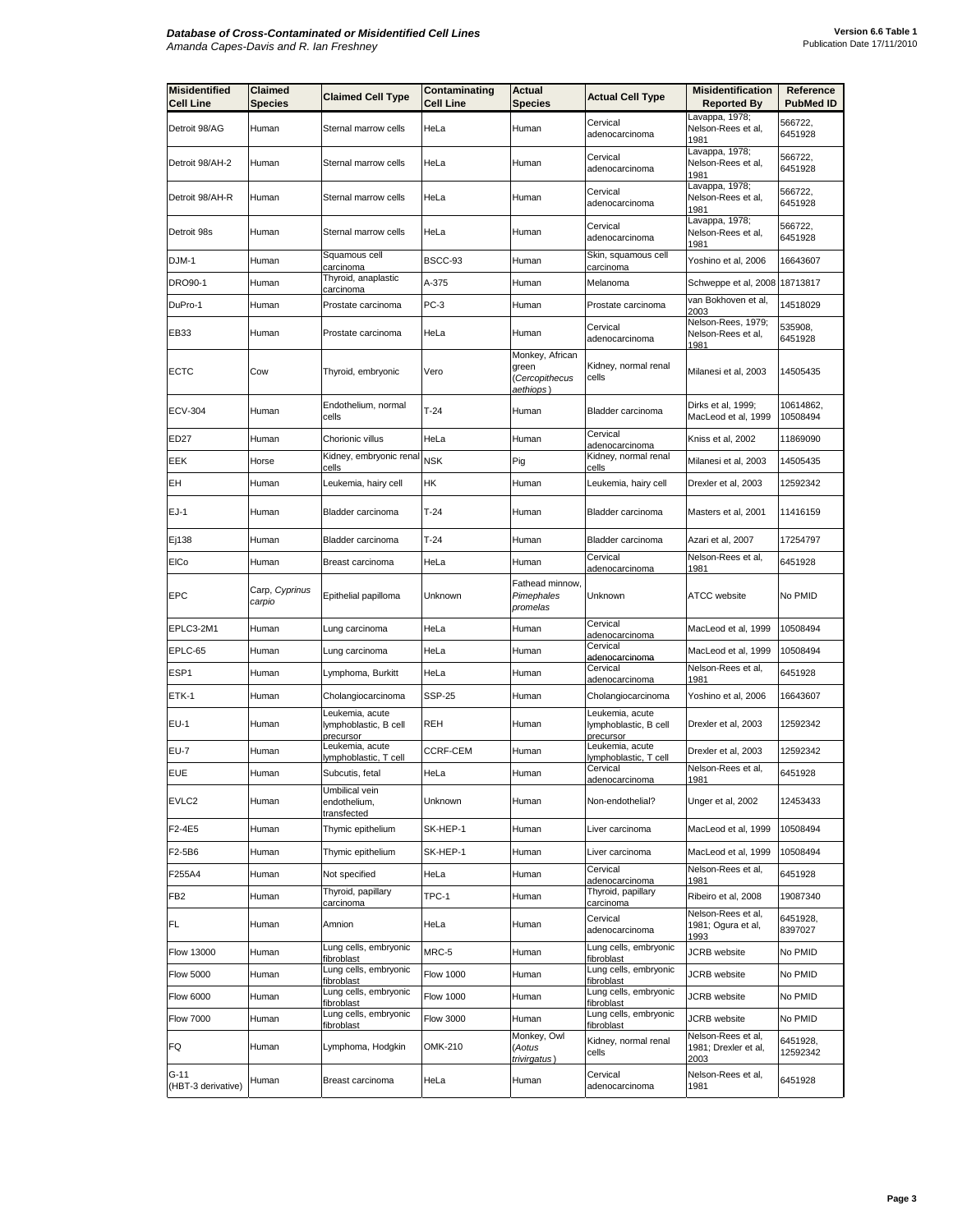| <b>Misidentified</b><br><b>Cell Line</b> | <b>Claimed</b><br><b>Species</b> | <b>Claimed Cell Type</b>                              | Contaminating<br><b>Cell Line</b> | <b>Actual</b><br><b>Species</b>                         | <b>Actual Cell Type</b>                               | <b>Misidentification</b><br><b>Reported By</b>     | Reference<br><b>PubMed ID</b> |
|------------------------------------------|----------------------------------|-------------------------------------------------------|-----------------------------------|---------------------------------------------------------|-------------------------------------------------------|----------------------------------------------------|-------------------------------|
| Detroit 98/AG                            | Human                            | Sternal marrow cells                                  | HeLa                              | Human                                                   | Cervical<br>adenocarcinoma                            | Lavappa, 1978;<br>Nelson-Rees et al,<br>1981       | 566722,<br>6451928            |
| Detroit 98/AH-2                          | Human                            | Sternal marrow cells                                  | HeLa                              | Human                                                   | Cervical<br>adenocarcinoma                            | Lavappa, 1978;<br>Nelson-Rees et al,<br>1981       | 566722,<br>6451928            |
| Detroit 98/AH-R                          | Human                            | Sternal marrow cells                                  | HeLa                              | Human                                                   | Cervical<br>adenocarcinoma                            | Lavappa, 1978;<br>Nelson-Rees et al,<br>1981       | 566722,<br>6451928            |
| Detroit 98s                              | Human                            | Sternal marrow cells                                  | HeLa                              | Human                                                   | Cervical<br>adenocarcinoma                            | Lavappa, 1978;<br>Nelson-Rees et al,<br>1981       | 566722,<br>6451928            |
| DJM-1                                    | Human                            | Squamous cell<br>carcinoma                            | BSCC-93                           | Human                                                   | Skin, squamous cell<br>carcinoma                      | Yoshino et al, 2006                                | 16643607                      |
| <b>DRO90-1</b>                           | Human                            | Thyroid, anaplastic<br>carcinoma                      | A-375                             | Human                                                   | Melanoma                                              | Schweppe et al, 2008                               | 18713817                      |
| DuPro-1                                  | Human                            | Prostate carcinoma                                    | PC-3                              | Human                                                   | Prostate carcinoma                                    | van Bokhoven et al,<br>2003                        | 14518029                      |
| EB33                                     | Human                            | Prostate carcinoma                                    | HeLa                              | Human                                                   | Cervical<br>adenocarcinoma                            | Nelson-Rees, 1979;<br>Nelson-Rees et al,<br>1981   | 535908,<br>6451928            |
| ECTC                                     | Cow                              | Thyroid, embryonic                                    | Vero                              | Monkey, African<br>green<br>(Cercopithecus<br>aethiops) | Kidney, normal renal<br>cells                         | Milanesi et al, 2003                               | 14505435                      |
| <b>ECV-304</b>                           | Human                            | Endothelium, normal<br>cells                          | $T-24$                            | Human                                                   | Bladder carcinoma                                     | Dirks et al, 1999;<br>MacLeod et al, 1999          | 10614862,<br>10508494         |
| ED27                                     | Human                            | Chorionic villus                                      | HeLa                              | Human                                                   | Cervical<br>adenocarcinoma                            | Kniss et al, 2002                                  | 11869090                      |
| EEK                                      | Horse                            | Kidney, embryonic renal<br>cells                      | <b>NSK</b>                        | Pig                                                     | Kidney, normal renal<br>cells                         | Milanesi et al, 2003                               | 14505435                      |
| EН                                       | Human                            | Leukemia, hairy cell                                  | HК                                | Human                                                   | Leukemia, hairy cell                                  | Drexler et al, 2003                                | 12592342                      |
| EJ-1                                     | Human                            | Bladder carcinoma                                     | $T-24$                            | Human                                                   | Bladder carcinoma                                     | Masters et al, 2001                                | 11416159                      |
| Ej138                                    | Human                            | Bladder carcinoma                                     | $T-24$                            | Human                                                   | Bladder carcinoma                                     | Azari et al, 2007                                  | 17254797                      |
| <b>EICo</b>                              | Human                            | Breast carcinoma                                      | HeLa                              | Human                                                   | Cervical<br><u>adenocarcinoma</u>                     | Nelson-Rees et al,<br>1981                         | 6451928                       |
| EPC                                      | Carp, Cyprinus<br>carpio         | Epithelial papilloma                                  | Unknown                           | Fathead minnow,<br>Pimephales<br>promelas               | Unknown                                               | <b>ATCC</b> website                                | No PMID                       |
| EPLC3-2M1                                | Human                            | Lung carcinoma                                        | HeLa                              | Human                                                   | Cervical<br>adenocarcinoma                            | MacLeod et al, 1999                                | 10508494                      |
| EPLC-65                                  | Human                            | Lung carcinoma                                        | HeLa                              | Human                                                   | Cervical<br>adenocarcinoma                            | MacLeod et al, 1999                                | 10508494                      |
| ESP1                                     | Human                            | Lymphoma, Burkitt                                     | HeLa                              | Human                                                   | Cervical<br>adenocarcinoma                            | Nelson-Rees et al,<br>1981                         | 6451928                       |
| ETK-1                                    | Human                            | Cholangiocarcinoma                                    | <b>SSP-25</b>                     | Human                                                   | Cholangiocarcinoma                                    | Yoshino et al, 2006                                | 16643607                      |
| EU-1                                     | Human                            | Leukemia, acute<br>lymphoblastic, B cell<br>precursor | REH                               | Human                                                   | Leukemia, acute<br>lymphoblastic, B cell<br>precursor | Drexler et al, 2003                                | 12592342                      |
| <b>EU-7</b>                              | Human                            | Leukemia, acute<br>lymphoblastic, T cell              | <b>CCRF-CEM</b>                   | Human                                                   | Leukemia, acute<br>lymphoblastic, T cell              | Drexler et al, 2003                                | 12592342                      |
| <b>EUE</b>                               | Human                            | Subcutis, fetal                                       | HeLa                              | Human                                                   | Cervical<br><u>adenocarcinoma</u>                     | Nelson-Rees et al,<br>1981                         | 6451928                       |
| EVLC <sub>2</sub>                        | Human                            | Umbilical vein<br>endothelium,<br>transfected         | Unknown                           | Human                                                   | Non-endothelial?                                      | Unger et al, 2002                                  | 12453433                      |
| F2-4E5                                   | Human                            | Thymic epithelium                                     | SK-HEP-1                          | Human                                                   | Liver carcinoma                                       | MacLeod et al, 1999                                | 10508494                      |
| F2-5B6                                   | Human                            | Thymic epithelium                                     | SK-HEP-1                          | Human                                                   | Liver carcinoma                                       | MacLeod et al, 1999                                | 10508494                      |
| F255A4                                   | Human                            | Not specified                                         | HeLa                              | Human                                                   | Cervical<br>adenocarcinoma                            | Nelson-Rees et al,<br>1981                         | 6451928                       |
| FB2                                      | Human                            | Thyroid, papillary<br>carcinoma                       | TPC-1                             | Human                                                   | Thyroid, papillary<br>carcinoma                       | Ribeiro et al, 2008                                | 19087340                      |
| FL                                       | Human                            | Amnion                                                | HeLa                              | Human                                                   | Cervical<br>adenocarcinoma                            | Nelson-Rees et al,<br>1981; Ogura et al,<br>1993   | 6451928,<br>8397027           |
| <b>Flow 13000</b>                        | Human                            | Lung cells, embryonic<br>fibroblast                   | MRC-5                             | Human                                                   | Lung cells, embryonic<br>fibroblast                   | JCRB website                                       | No PMID                       |
| <b>Flow 5000</b>                         | Human                            | Lung cells, embryonic<br>fibroblast                   | <b>Flow 1000</b>                  | Human                                                   | Lung cells, embryonic<br>fibroblast                   | JCRB website                                       | No PMID                       |
| <b>Flow 6000</b>                         | Human                            | Lung cells, embryonic<br>fibroblast                   | <b>Flow 1000</b>                  | Human                                                   | Lung cells, embryonic<br>fibroblast                   | JCRB website                                       | No PMID                       |
| <b>Flow 7000</b>                         | Human                            | Lung cells, embryonic<br>fibroblast                   | <b>Flow 3000</b>                  | Human                                                   | Lung cells, embryonic<br>fibroblast                   | JCRB website                                       | No PMID                       |
| FQ                                       | Human                            | Lymphoma, Hodgkin                                     | OMK-210                           | Monkey, Owl<br>(Aotus<br>trivirgatus)                   | Kidney, normal renal<br>cells                         | Nelson-Rees et al,<br>1981; Drexler et al,<br>2003 | 6451928,<br>12592342          |
| G-11<br>(HBT-3 derivative)               | Human                            | Breast carcinoma                                      | HeLa                              | Human                                                   | Cervical<br>adenocarcinoma                            | Nelson-Rees et al,<br>1981                         | 6451928                       |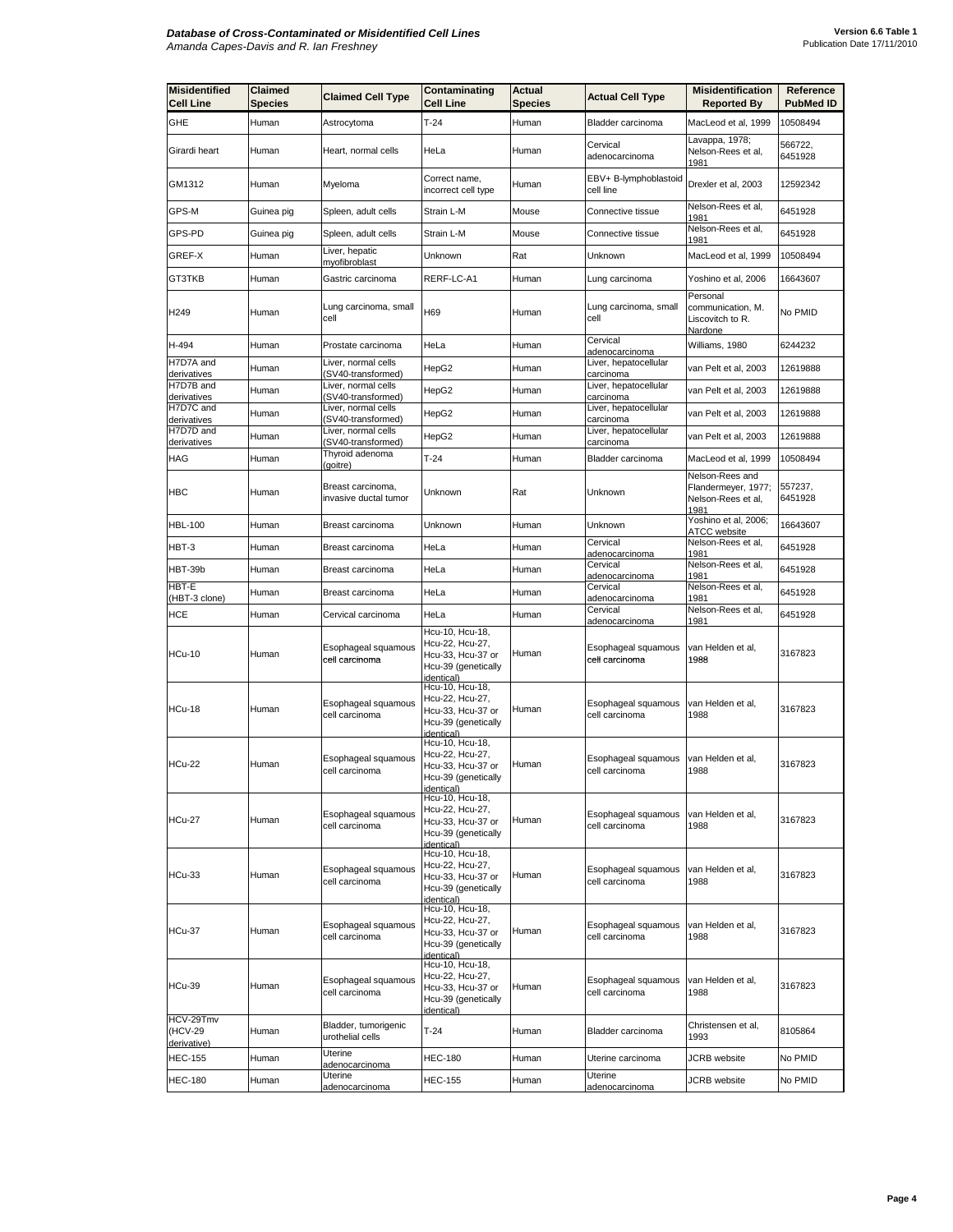| <b>Misidentified</b><br>Cell Line   | <b>Claimed</b><br><b>Species</b> | <b>Claimed Cell Type</b>                   | Contaminating<br><b>Cell Line</b>                                                            | Actual<br><b>Species</b> | <b>Actual Cell Type</b>                                 | <b>Misidentification</b><br><b>Reported By</b>                       | Reference<br><b>PubMed ID</b> |
|-------------------------------------|----------------------------------|--------------------------------------------|----------------------------------------------------------------------------------------------|--------------------------|---------------------------------------------------------|----------------------------------------------------------------------|-------------------------------|
| GHE                                 | Human                            | Astrocytoma                                | $T-24$                                                                                       | Human                    | Bladder carcinoma                                       | MacLeod et al, 1999                                                  | 10508494                      |
| Girardi heart                       | Human                            | Heart, normal cells                        | HeLa                                                                                         | Human                    | Cervical<br>adenocarcinoma                              | Lavappa, 1978;<br>Nelson-Rees et al,<br>1981                         | 566722,<br>6451928            |
| GM1312                              | Human                            | Myeloma                                    | Correct name,<br>incorrect cell type                                                         | Human                    | EBV+ B-lymphoblastoid<br>cell line                      | Drexler et al, 2003                                                  | 12592342                      |
| GPS-M                               | Guinea pig                       | Spleen, adult cells                        | Strain L-M                                                                                   | Mouse                    | Connective tissue                                       | Nelson-Rees et al,<br>1981                                           | 6451928                       |
| GPS-PD                              | Guinea pig                       | Spleen, adult cells                        | Strain L-M                                                                                   | Mouse                    | Connective tissue                                       | Nelson-Rees et al,<br>1981                                           | 6451928                       |
| GREF-X                              | Human                            | Liver, hepatic<br>myofibroblast            | Unknown                                                                                      | Rat                      | Unknown                                                 | MacLeod et al, 1999                                                  | 10508494                      |
| GT3TKB                              | Human                            | Gastric carcinoma                          | RERF-LC-A1                                                                                   | Human                    | Lung carcinoma                                          | Yoshino et al, 2006                                                  | 16643607                      |
| H249                                | Human                            | Lung carcinoma, small<br>cell              | H69                                                                                          | Human                    | Lung carcinoma, small<br>cell                           | Personal<br>communication, M.<br>Liscovitch to R.<br><u>Nardone</u>  | No PMID                       |
| H-494                               | Human                            | Prostate carcinoma                         | HeLa                                                                                         | Human                    | Cervical<br>adenocarcinoma                              | Williams, 1980                                                       | 6244232                       |
| H7D7A and<br>derivatives            | Human                            | Liver, normal cells<br>(SV40-transformed)  | HepG2                                                                                        | Human                    | Liver, hepatocellular<br>carcinoma                      | van Pelt et al, 2003                                                 | 12619888                      |
| H7D7B and<br>derivatives            | Human                            | Liver, normal cells<br>(SV40-transformed)  | HepG2                                                                                        | Human                    | Liver, hepatocellular<br>carcinoma                      | van Pelt et al, 2003                                                 | 12619888                      |
| H7D7C and<br>derivatives            | Human                            | Liver, normal cells<br>(SV40-transformed)  | HepG2                                                                                        | Human                    | Liver, hepatocellular<br>carcinoma                      | van Pelt et al, 2003                                                 | 12619888                      |
| H7D7D and<br>derivatives            | Human                            | Liver, normal cells<br>(SV40-transformed)  | HepG2                                                                                        | Human                    | Liver, hepatocellular<br>carcinoma                      | van Pelt et al, 2003                                                 | 12619888                      |
| HAG                                 | Human                            | Thyroid adenoma<br>(goitre)                | $T-24$                                                                                       | Human                    | Bladder carcinoma                                       | MacLeod et al, 1999                                                  | 10508494                      |
| <b>HBC</b>                          | Human                            | Breast carcinoma,<br>invasive ductal tumor | Unknown                                                                                      | Rat                      | Unknown                                                 | Nelson-Rees and<br>Flandermeyer, 1977;<br>Nelson-Rees et al,<br>1981 | 557237,<br>6451928            |
| <b>HBL-100</b>                      | Human                            | Breast carcinoma                           | Unknown                                                                                      | Human                    | Unknown                                                 | Yoshino et al, 2006;<br>ATCC website                                 | 16643607                      |
| HBT-3                               | Human                            | Breast carcinoma                           | HeLa                                                                                         | Human                    | Cervical<br>adenocarcinoma                              | Nelson-Rees et al,<br>1981                                           | 6451928                       |
| HBT-39b                             | Human                            | Breast carcinoma                           | HeLa                                                                                         | Human                    | Cervical<br>adenocarcinoma                              | Nelson-Rees et al,<br>1981                                           | 6451928                       |
| HBT-E<br>(HBT-3 clone)              | Human                            | Breast carcinoma                           | HeLa                                                                                         | Human                    | Cervical<br>adenocarcinoma                              | Nelson-Rees et al,<br>1981                                           | 6451928                       |
| HCE                                 | Human                            | Cervical carcinoma                         | HeLa                                                                                         | Human                    | Cervical                                                | Nelson-Rees et al,<br>1981                                           | 6451928                       |
| <b>HCu-10</b>                       | Human                            | Esophageal squamous<br>cell carcinoma      | Hcu-10, Hcu-18,<br>Hcu-22, Hcu-27,<br>Hcu-33, Hcu-37 or<br>Hcu-39 (genetically<br>identical) | Human                    | adenocarcinoma<br>Esophageal squamous<br>cell carcinoma | van Helden et al,<br>1988                                            | 3167823                       |
| <b>HCu-18</b>                       | Human                            | Esophageal squamous<br>cell carcinoma      | Hcu-10, Hcu-18,<br>Hcu-22, Hcu-27,<br>Hcu-33, Hcu-37 or<br>Hcu-39 (genetically<br>identical) | Human                    | Esophageal squamous<br>cell carcinoma                   | van Helden et al,<br>1988                                            | 3167823                       |
| <b>HCu-22</b>                       | Human                            | Esophageal squamous<br>cell carcinoma      | Hcu-10, Hcu-18,<br>Hcu-22, Hcu-27,<br>Hcu-33, Hcu-37 or<br>Hcu-39 (genetically<br>identical) | Human                    | Esophageal squamous<br>cell carcinoma                   | van Helden et al,<br>1988                                            | 3167823                       |
| <b>HCu-27</b>                       | Human                            | Esophageal squamous<br>cell carcinoma      | Hcu-10, Hcu-18,<br>Hcu-22, Hcu-27,<br>Hcu-33, Hcu-37 or<br>Hcu-39 (genetically<br>identical) | Human                    | Esophageal squamous<br>cell carcinoma                   | van Helden et al,<br>1988                                            | 3167823                       |
| <b>HCu-33</b>                       | Human                            | Esophageal squamous<br>cell carcinoma      | Hcu-10, Hcu-18,<br>Hcu-22, Hcu-27,<br>Hcu-33, Hcu-37 or<br>Hcu-39 (genetically<br>identical) | Human                    | Esophageal squamous<br>cell carcinoma                   | van Helden et al,<br>1988                                            | 3167823                       |
| <b>HCu-37</b>                       | Human                            | Esophageal squamous<br>cell carcinoma      | Hcu-10, Hcu-18,<br>Hcu-22, Hcu-27,<br>Hcu-33, Hcu-37 or<br>Hcu-39 (genetically<br>identical) | Human                    | Esophageal squamous<br>cell carcinoma                   | van Helden et al,<br>1988                                            | 3167823                       |
| HCu-39                              | Human                            | Esophageal squamous<br>cell carcinoma      | Hcu-10, Hcu-18,<br>Hcu-22, Hcu-27,<br>Hcu-33, Hcu-37 or<br>Hcu-39 (genetically<br>identical) | Human                    | Esophageal squamous<br>cell carcinoma                   | van Helden et al,<br>1988                                            | 3167823                       |
| HCV-29Tmv<br>(HCV-29<br>derivative) | Human                            | Bladder, tumorigenic<br>urothelial cells   | $T-24$                                                                                       | Human                    | Bladder carcinoma                                       | Christensen et al,<br>1993                                           | 8105864                       |
| <b>HEC-155</b>                      | Human                            | Uterine<br>adenocarcinoma                  | HEC-180                                                                                      | Human                    | Uterine carcinoma                                       | JCRB website                                                         | No PMID                       |
| <b>HEC-180</b>                      | Human                            | Uterine<br>adenocarcinoma                  | HEC-155                                                                                      | Human                    | Uterine<br>adenocarcinoma                               | JCRB website                                                         | No PMID                       |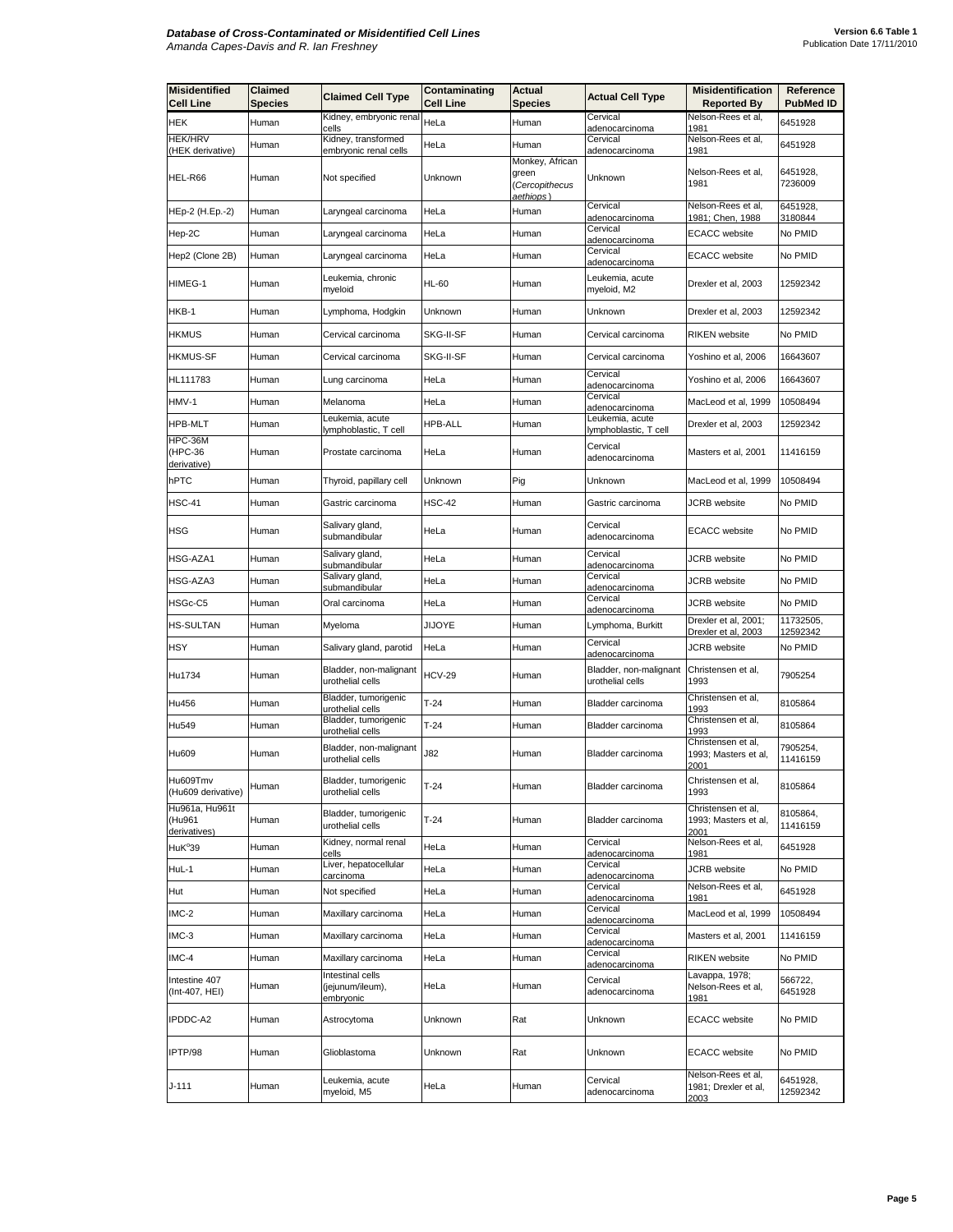| <b>Misidentified</b><br><b>Cell Line</b> | Claimed<br>Species | <b>Claimed Cell Type</b>                          | Contaminating<br>Cell Line | Actual<br><b>Species</b>                                | <b>Actual Cell Type</b>                    | <b>Misidentification</b><br><b>Reported By</b>     | Reference<br><b>PubMed ID</b> |
|------------------------------------------|--------------------|---------------------------------------------------|----------------------------|---------------------------------------------------------|--------------------------------------------|----------------------------------------------------|-------------------------------|
| HEK                                      | Human              | Kidney, embryonic renal<br>cells                  | HeLa                       | Human                                                   | Cervical<br>adenocarcinoma                 | Nelson-Rees et al,<br>1981                         | 6451928                       |
| <b>HEK/HRV</b><br>(HEK derivative)       | Human              | Kidney, transformed<br>embryonic renal cells      | HeLa                       | Human                                                   | Cervical<br>adenocarcinoma                 | Nelson-Rees et al,<br>1981                         | 6451928                       |
| HEL-R66                                  | Human              | Not specified                                     | Unknown                    | Monkey, African<br>green<br>(Cercopithecus<br>aethiops) | Unknown                                    | Nelson-Rees et al,<br>1981                         | 6451928,<br>7236009           |
| HEp-2 (H.Ep.-2)                          | Human              | Laryngeal carcinoma                               | HeLa                       | Human                                                   | Cervical<br>adenocarcinoma                 | Nelson-Rees et al,<br><u> 1981; Chen, 1988</u>     | 6451928,<br>3180844           |
| Hep-2C                                   | Human              | Laryngeal carcinoma                               | HeLa                       | Human                                                   | Cervical<br>adenocarcinoma                 | <b>ECACC</b> website                               | No PMID                       |
| Hep2 (Clone 2B)                          | Human              | Laryngeal carcinoma                               | HeLa                       | Human                                                   | Cervical<br>adenocarcinoma                 | <b>ECACC</b> website                               | No PMID                       |
| HIMEG-1                                  | Human              | Leukemia, chronic<br>myeloid                      | HL-60                      | Human                                                   | Leukemia, acute<br>myeloid, M2             | Drexler et al, 2003                                | 12592342                      |
| HKB-1                                    | Human              | Lymphoma, Hodgkin                                 | Unknown                    | Human                                                   | Unknown                                    | Drexler et al, 2003                                | 12592342                      |
| <b>HKMUS</b>                             | Human              | Cervical carcinoma                                | SKG-II-SF                  | Human                                                   | Cervical carcinoma                         | RIKEN website                                      | No PMID                       |
| <b>HKMUS-SF</b>                          | Human              | Cervical carcinoma                                | SKG-II-SF                  | Human                                                   | Cervical carcinoma                         | Yoshino et al, 2006                                | 16643607                      |
| HL111783                                 | Human              | Lung carcinoma                                    | HeLa                       | Human                                                   | Cervical<br>adenocarcinoma                 | Yoshino et al, 2006                                | 16643607                      |
| HMV-1                                    | Human              | Melanoma                                          | HeLa                       | Human                                                   | Cervical<br>adenocarcinoma                 | MacLeod et al, 1999                                | 10508494                      |
| <b>HPB-MLT</b>                           | Human              | eukemia, acute.<br>lymphoblastic, T cell          | <b>HPB-ALL</b>             | Human                                                   | Leukemia, acute<br>lymphoblastic, T cell   | Drexler et al, 2003                                | 12592342                      |
| HPC-36M<br>(HPC-36<br>derivative)        | Human              | Prostate carcinoma                                | HeLa                       | Human                                                   | Cervical<br>adenocarcinoma                 | Masters et al, 2001                                | 11416159                      |
| hPTC                                     | Human              | Thyroid, papillary cell                           | Unknown                    | Pig                                                     | Unknown                                    | MacLeod et al, 1999                                | 10508494                      |
| <b>HSC-41</b>                            | Human              | Gastric carcinoma                                 | HSC-42                     | Human                                                   | Gastric carcinoma                          | JCRB website                                       | No PMID                       |
| HSG                                      | Human              | Salivary gland,<br>submandibular                  | HeLa                       | Human                                                   | Cervical<br>adenocarcinoma                 | <b>ECACC</b> website                               | No PMID                       |
| HSG-AZA1                                 | Human              | Salivary gland,<br>submandibular                  | HeLa                       | Human                                                   | Cervical<br>adenocarcinoma                 | <b>JCRB</b> website                                | No PMID                       |
| HSG-AZA3                                 | Human              | Salivary gland,<br>submandibular                  | HeLa                       | Human                                                   | Cervical<br>adenocarcinoma                 | <b>JCRB</b> website                                | No PMID                       |
| HSGc-C5                                  | Human              | Oral carcinoma                                    | HeLa                       | Human                                                   | Cervical<br>adenocarcinoma                 | JCRB website                                       | No PMID                       |
| <b>HS-SULTAN</b>                         | Human              | Myeloma                                           | JIJOYE                     | Human                                                   | Lymphoma, Burkitt                          | Drexler et al, 2001;<br>Drexler et al, 2003        | 11732505,<br>12592342         |
| HSY                                      | Human              | Salivary gland, parotid                           | HeLa                       | Human                                                   | Cervical<br>adenocarcinoma                 | <b>JCRB</b> website                                | No PMID                       |
| Hu1734                                   | Human              | Bladder, non-malignant<br>urothelial cells        | <b>HCV-29</b>              | Human                                                   | Bladder, non-malignant<br>urothelial cells | Christensen et al,<br>1993                         | 7905254                       |
| Hu456                                    | Human              | Bladder, tumorigenic<br>urothelial cells          | $T-24$                     | Human                                                   | Bladder carcinoma                          | Christensen et al,<br>1993                         | 8105864                       |
| Hu549                                    | Human              | Bladder, tumorigenic<br>urothelial cells          | T-24                       | Human                                                   | Bladder carcinoma                          | Christensen et al,<br>1993                         | 8105864                       |
| Hu609                                    | Human              | Bladder, non-malignant<br>urothelial cells        | J82                        | Human                                                   | Bladder carcinoma                          | Christensen et al,<br>1993; Masters et al,<br>2001 | 7905254,<br>11416159          |
| Hu609Tmv<br>(Hu609 derivative)           | Human              | Bladder, tumorigenic<br>urothelial cells          | $T-24$                     | Human                                                   | Bladder carcinoma                          | Christensen et al,<br>1993                         | 8105864                       |
| Hu961a, Hu961t<br>(Hu961<br>derivatives) | Human              | Bladder, tumorigenic<br>urothelial cells          | $T-24$                     | Human                                                   | Bladder carcinoma                          | Christensen et al,<br>1993; Masters et al,<br>2001 | 8105864,<br>11416159          |
| HuK <sup>°</sup> 39                      | Human              | Kidney, normal renal<br>ells:                     | HeLa                       | Human                                                   | Cervical<br>adenocarcinoma                 | Nelson-Rees et al,<br>1981                         | 6451928                       |
| HuL-1                                    | Human              | Liver, hepatocellular<br>carcinoma                | HeLa                       | Human                                                   | Cervical<br>adenocarcinoma                 | JCRB website                                       | No PMID                       |
| Hut                                      | Human              | Not specified                                     | HeLa                       | Human                                                   | Cervical<br>adenocarcinoma                 | Nelson-Rees et al,<br>1981                         | 6451928                       |
| IMC-2                                    | Human              | Maxillary carcinoma                               | HeLa                       | Human                                                   | Cervical<br>adenocarcinoma                 | MacLeod et al, 1999                                | 10508494                      |
| IMC-3                                    | Human              | Maxillary carcinoma                               | HeLa                       | Human                                                   | Cervical<br>adenocarcinoma                 | Masters et al, 2001                                | 11416159                      |
| IMC-4                                    | Human              | Maxillary carcinoma                               | HeLa                       | Human                                                   | Cervical<br>adenocarcinoma                 | RIKEN website                                      | No PMID                       |
| Intestine 407<br>(Int-407, HEI)          | Human              | Intestinal cells<br>(jejunum/ileum),<br>embryonic | HeLa                       | Human                                                   | Cervical<br>adenocarcinoma                 | avappa, 1978;<br>Nelson-Rees et al,<br>1981        | 566722,<br>6451928            |
| IPDDC-A2                                 | Human              | Astrocytoma                                       | Unknown                    | Rat                                                     | Unknown                                    | <b>ECACC</b> website                               | No PMID                       |
| IPTP/98                                  | Human              | Glioblastoma                                      | Unknown                    | Rat                                                     | Unknown                                    | <b>ECACC</b> website                               | No PMID                       |
| J-111                                    | Human              | Leukemia, acute<br>myeloid, M5                    | HeLa                       | Human                                                   | Cervical<br>adenocarcinoma                 | Nelson-Rees et al,<br>1981; Drexler et al,<br>2003 | 6451928,<br>12592342          |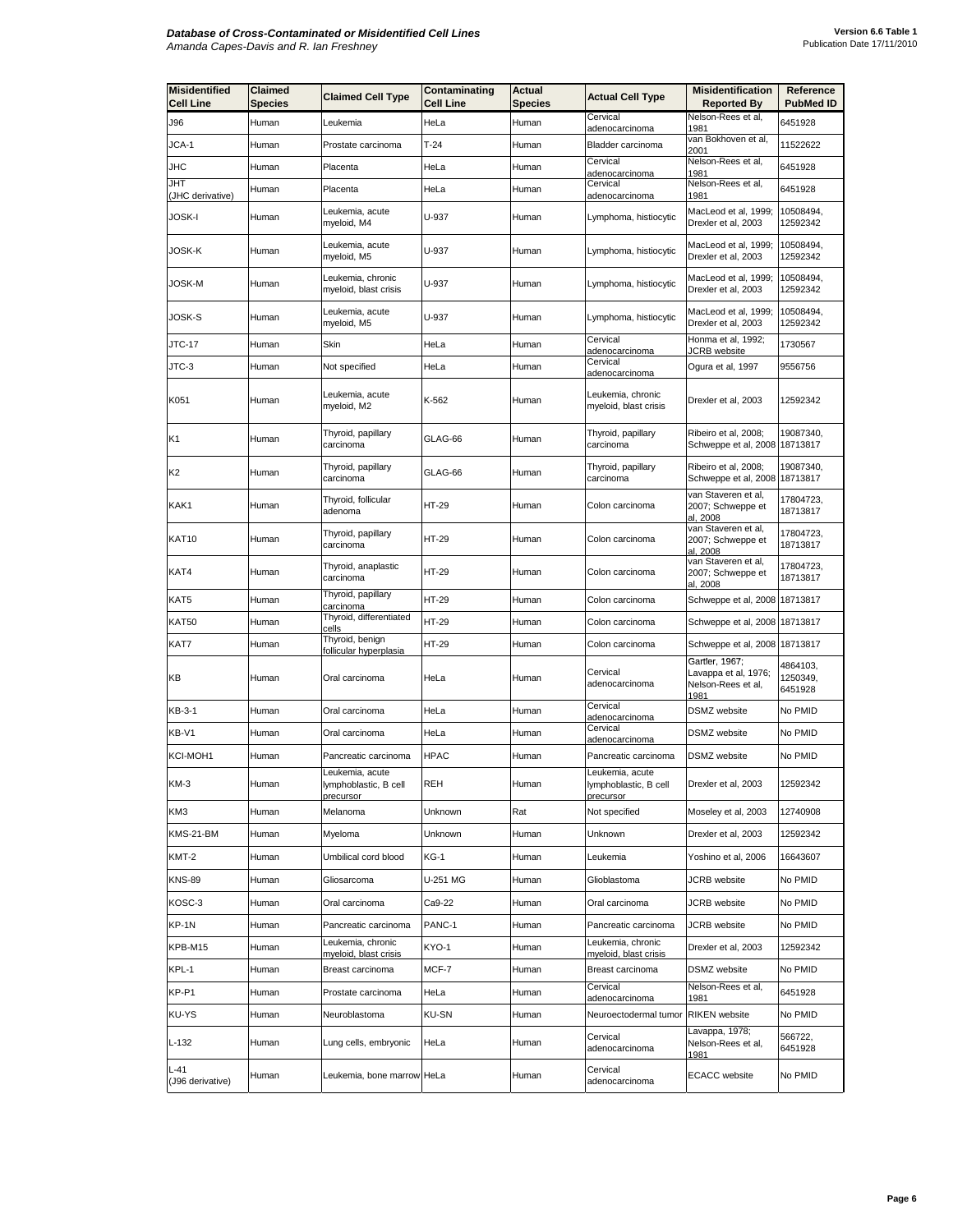| <b>Misidentified</b><br><b>Cell Line</b> | Claimed<br>Species | <b>Claimed Cell Type</b>                              | Contaminating<br><b>Cell Line</b> | Actual<br><b>Species</b> | <b>Actual Cell Type</b>                               | <b>Misidentification</b><br><b>Reported By</b>                       | Reference<br>PubMed ID          |
|------------------------------------------|--------------------|-------------------------------------------------------|-----------------------------------|--------------------------|-------------------------------------------------------|----------------------------------------------------------------------|---------------------------------|
| J96                                      | Human              | Leukemia                                              | HeLa                              | Human                    | Cervical                                              | Nelson-Rees et al,                                                   | 6451928                         |
| JCA-1                                    | Human              | Prostate carcinoma                                    | $T-24$                            | Human                    | adenocarcinoma<br>Bladder carcinoma                   | 1981<br>van Bokhoven et al,<br>2001                                  | 11522622                        |
| JHC                                      | Human              | Placenta                                              | HeLa                              | Human                    | Cervical<br>adenocarcinoma                            | Nelson-Rees et al,<br>1981                                           | 6451928                         |
| JHT<br>(JHC derivative)                  | Human              | Placenta                                              | HeLa                              | Human                    | Cervical<br>adenocarcinoma                            | Nelson-Rees et al,<br>1981                                           | 6451928                         |
| JOSK-I                                   | Human              | Leukemia, acute<br>myeloid, M4                        | U-937                             | Human                    | Lymphoma, histiocytic                                 | MacLeod et al, 1999;<br>Drexler et al, 2003                          | 10508494,<br>12592342           |
| <b>JOSK-K</b>                            | Human              | Leukemia, acute<br>myeloid, M5                        | U-937                             | Human                    | Lymphoma, histiocytic                                 | MacLeod et al, 1999;<br>Drexler et al, 2003                          | 10508494,<br>12592342           |
| JOSK-M                                   | Human              | Leukemia, chronic<br>myeloid, blast crisis            | U-937                             | Human                    | Lymphoma, histiocytic                                 | MacLeod et al, 1999;<br>Drexler et al, 2003                          | 10508494,<br>12592342           |
| JOSK-S                                   | Human              | Leukemia, acute<br>myeloid, M5                        | U-937                             | Human                    | Lymphoma, histiocytic                                 | MacLeod et al, 1999;<br>Drexler et al, 2003                          | 10508494,<br>12592342           |
| JTC-17                                   | Human              | Skin                                                  | HeLa                              | Human                    | Cervical<br>adenocarcinoma                            | Honma et al, 1992;<br>JCRB website                                   | 1730567                         |
| JTC-3                                    | Human              | Not specified                                         | HeLa                              | Human                    | Cervical<br>adenocarcinoma                            | Ogura et al, 1997                                                    | 9556756                         |
| K051                                     | Human              | Leukemia, acute<br>myeloid, M2                        | K-562                             | Human                    | Leukemia, chronic<br>myeloid, blast crisis            | Drexler et al, 2003                                                  | 12592342                        |
| K1                                       | Human              | Thyroid, papillary<br>carcinoma                       | GLAG-66                           | Human                    | Thyroid, papillary<br>carcinoma                       | Ribeiro et al, 2008;<br>Schweppe et al, 2008                         | 19087340,<br>18713817           |
| K2                                       | Human              | Thyroid, papillary<br>carcinoma                       | GLAG-66                           | Human                    | Thyroid, papillary<br>carcinoma                       | Ribeiro et al, 2008;<br>Schweppe et al, 2008 18713817                | 19087340,                       |
| KAK1                                     | Human              | Thyroid, follicular<br>adenoma                        | HT-29                             | Human                    | Colon carcinoma                                       | van Staveren et al,<br>2007; Schweppe et<br>al, 2008                 | 17804723,<br>18713817           |
| KAT10                                    | Human              | Thyroid, papillary<br>carcinoma                       | HT-29                             | Human                    | Colon carcinoma                                       | van Staveren et al,<br>2007; Schweppe et<br>al. 2008                 | 17804723,<br>18713817           |
| KAT4                                     | Human              | Thyroid, anaplastic<br>carcinoma                      | HT-29                             | Human                    | Colon carcinoma                                       | van Staveren et al,<br>2007; Schweppe et<br>al, 2008                 | 17804723,<br>18713817           |
| KAT5                                     | Human              | Thyroid, papillary<br>carcinoma                       | HT-29                             | Human                    | Colon carcinoma                                       | Schweppe et al, 2008                                                 | 18713817                        |
| KAT50                                    | Human              | Thyroid, differentiated<br>cells                      | HT-29                             | Human                    | Colon carcinoma                                       | Schweppe et al, 2008 18713817                                        |                                 |
| KAT7                                     | Human              | Thyroid, benign<br>follicular hyperplasia             | HT-29                             | Human                    | Colon carcinoma                                       | Schweppe et al, 2008 18713817                                        |                                 |
| KВ                                       | Human              | Oral carcinoma                                        | HeLa                              | Human                    | Cervical<br>adenocarcinoma                            | Gartler, 1967;<br>Lavappa et al, 1976;<br>Nelson-Rees et al,<br>1981 | 4864103,<br>1250349,<br>6451928 |
| KB-3-1                                   | Human              | Oral carcinoma                                        | HeLa                              | Human                    | Cervical<br>adenocarcinoma                            | DSMZ website                                                         | No PMID                         |
| KB-V1                                    | Human              | Oral carcinoma                                        | HeLa                              | Human                    | Cervical<br>adenocarcinoma                            | DSMZ website                                                         | No PMID                         |
| KCI-MOH1                                 | Human              | Pancreatic carcinoma                                  | <b>HPAC</b>                       | Human                    | Pancreatic carcinoma                                  | DSMZ website                                                         | No PMID                         |
| KM-3                                     | Human              | Leukemia, acute<br>lymphoblastic, B cell<br>precursor | REH                               | Human                    | Leukemia, acute<br>lymphoblastic, B cell<br>precursor | Drexler et al, 2003                                                  | 12592342                        |
| KM3                                      | Human              | Melanoma                                              | Unknown                           | Rat                      | Not specified                                         | Moseley et al, 2003                                                  | 12740908                        |
| KMS-21-BM                                | Human              | Myeloma                                               | Unknown                           | Human                    | Unknown                                               | Drexler et al, 2003                                                  | 12592342                        |
| KMT-2                                    | Human              | Umbilical cord blood                                  | $KG-1$                            | Human                    | Leukemia                                              | Yoshino et al. 2006                                                  | 16643607                        |
| <b>KNS-89</b>                            | Human              | Gliosarcoma                                           | U-251 MG                          | Human                    | Glioblastoma                                          | JCRB website                                                         | No PMID                         |
| KOSC-3                                   | Human              | Oral carcinoma                                        | Ca9-22                            | Human                    | Oral carcinoma                                        | <b>JCRB</b> website                                                  | No PMID                         |
| KP-1N                                    | Human              | Pancreatic carcinoma                                  | PANC-1                            | Human                    | Pancreatic carcinoma                                  | JCRB website                                                         | No PMID                         |
| KPB-M15                                  | Human              | Leukemia, chronic<br>myeloid, blast crisis            | KYO-1                             | Human                    | Leukemia, chronic<br>myeloid, blast crisis            | Drexler et al, 2003                                                  | 12592342                        |
| KPL-1                                    | Human              | Breast carcinoma                                      | MCF-7                             | Human                    | Breast carcinoma                                      | <b>DSMZ</b> website                                                  | No PMID                         |
| KP-P1                                    | Human              | Prostate carcinoma                                    | HeLa                              | Human                    | Cervical<br>adenocarcinoma                            | Nelson-Rees et al,<br>1981                                           | 6451928                         |
| KU-YS                                    | Human              | Neuroblastoma                                         | <b>KU-SN</b>                      | Human                    | Neuroectodermal tumor                                 | <b>RIKEN</b> website                                                 | No PMID                         |
| $L-132$                                  | Human              | Lung cells, embryonic                                 | HeLa                              | Human                    | Cervical<br>adenocarcinoma                            | Lavappa, 1978;<br>Nelson-Rees et al,<br>1981                         | 566722,<br>6451928              |
| $L-41$<br>(J96 derivative)               | Human              | Leukemia, bone marrow HeLa                            |                                   | Human                    | Cervical<br>adenocarcinoma                            | <b>ECACC</b> website                                                 | No PMID                         |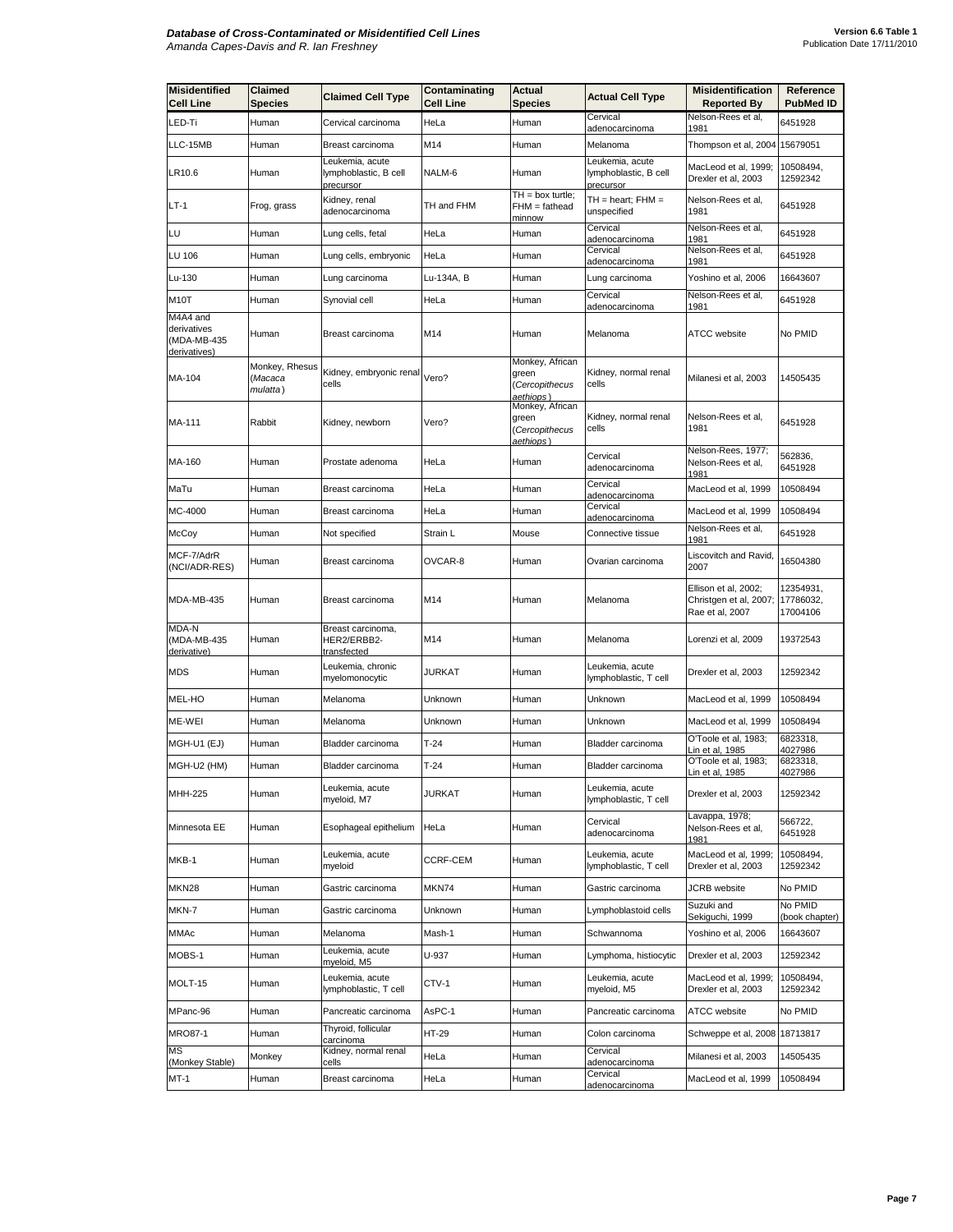| <b>Misidentified</b><br><b>Cell Line</b>               | Claimed<br>Species                    | <b>Claimed Cell Type</b>                              | Contaminating<br>Cell Line | <b>Actual</b><br>Species                                | <b>Actual Cell Type</b>                               | <b>Misidentification</b><br><b>Reported By</b>                    | Reference<br><b>PubMed ID</b>      |
|--------------------------------------------------------|---------------------------------------|-------------------------------------------------------|----------------------------|---------------------------------------------------------|-------------------------------------------------------|-------------------------------------------------------------------|------------------------------------|
| LED-Ti                                                 | Human                                 | Cervical carcinoma                                    | HeLa                       | Human                                                   | Cervical<br>adenocarcinoma                            | Nelson-Rees et al,<br>1981                                        | 6451928                            |
| LLC-15MB                                               | Human                                 | Breast carcinoma                                      | M14                        | Human                                                   | Melanoma                                              | Thompson et al, 2004 15679051                                     |                                    |
| LR10.6                                                 | Human                                 | Leukemia, acute<br>lymphoblastic, B cell<br>precursor | NALM-6                     | Human                                                   | Leukemia, acute<br>lymphoblastic, B cell<br>precursor | MacLeod et al, 1999;<br>Drexler et al, 2003                       | 10508494,<br>12592342              |
| $LT-1$                                                 | Frog, grass                           | Kidney, renal<br>adenocarcinoma                       | TH and FHM                 | $TH = box$ turtle;<br>FHM = fathead<br>minnow           | $TH = heart$ ; $FHM =$<br>unspecified                 | Nelson-Rees et al,<br>1981                                        | 6451928                            |
| LU                                                     | Human                                 | Lung cells, fetal                                     | HeLa                       | Human                                                   | Cervical<br>adenocarcinoma                            | Nelson-Rees et al,<br>1981                                        | 6451928                            |
| LU 106                                                 | Human                                 | Lung cells, embryonic                                 | HeLa                       | Human                                                   | Cervical<br>adenocarcinoma                            | Nelson-Rees et al,<br>1981                                        | 6451928                            |
| Lu-130                                                 | Human                                 | Lung carcinoma                                        | Lu-134A, B                 | Human                                                   | Lung carcinoma                                        | Yoshino et al, 2006                                               | 16643607                           |
| M <sub>1</sub> 0T                                      | Human                                 | Synovial cell                                         | HeLa                       | Human                                                   | Cervical<br><u>adenocarcinoma</u>                     | Nelson-Rees et al,<br>1981                                        | 6451928                            |
| M4A4 and<br>derivatives<br>(MDA-MB-435<br>derivatives) | Human                                 | Breast carcinoma                                      | M14                        | Human                                                   | Melanoma                                              | ATCC website                                                      | No PMID                            |
| MA-104                                                 | Monkey, Rhesus<br>(Macaca<br>mulatta) | Kidney, embryonic renal<br>cells                      | Vero?                      | Monkey, African<br>green<br>(Cercopithecus<br>aethiops) | Kidney, normal renal<br>cells                         | Milanesi et al, 2003                                              | 14505435                           |
| MA-111                                                 | Rabbit                                | Kidney, newborn                                       | Vero?                      | Monkey, African<br>green<br>(Cercopithecus<br>aethiops) | Kidney, normal renal<br>cells                         | Nelson-Rees et al,<br>1981                                        | 6451928                            |
| MA-160                                                 | Human                                 | Prostate adenoma                                      | HeLa                       | Human                                                   | Cervical<br>adenocarcinoma                            | Nelson-Rees, 1977;<br>Nelson-Rees et al,<br><u> 1981</u>          | 562836,<br>6451928                 |
| MaTu                                                   | Human                                 | Breast carcinoma                                      | HeLa                       | Human                                                   | Cervical<br>adenocarcinoma                            | MacLeod et al, 1999                                               | 10508494                           |
| MC-4000                                                | Human                                 | Breast carcinoma                                      | HeLa                       | Human                                                   | Cervical<br>adenocarcinoma                            | MacLeod et al, 1999                                               | 10508494                           |
| McCoy                                                  | Human                                 | Not specified                                         | Strain L                   | Mouse                                                   | Connective tissue                                     | Nelson-Rees et al,<br>1981                                        | 6451928                            |
| MCF-7/AdrR<br>(NCI/ADR-RES)                            | Human                                 | Breast carcinoma                                      | OVCAR-8                    | Human                                                   | Ovarian carcinoma                                     | Liscovitch and Ravid,<br>2007                                     | 16504380                           |
| MDA-MB-435                                             | Human                                 | Breast carcinoma                                      | M14                        | Human                                                   | Melanoma                                              | Ellison et al, 2002;<br>Christgen et al, 2007;<br>Rae et al, 2007 | 12354931,<br>17786032,<br>17004106 |
| MDA-N<br>(MDA-MB-435<br>derivative)                    | Human                                 | Breast carcinoma,<br>HER2/ERBB2-<br>transfected       | M14                        | Human                                                   | Melanoma                                              | Lorenzi et al, 2009                                               | 19372543                           |
| <b>MDS</b>                                             | Human                                 | Leukemia, chronic<br>myelomonocytic                   | JURKAT                     | Human                                                   | Leukemia, acute<br>lymphoblastic, T cell              | Drexler et al, 2003                                               | 12592342                           |
| MEL-HO                                                 | Human                                 | Melanoma                                              | Unknown                    | Human                                                   | Unknown                                               | MacLeod et al, 1999                                               | 10508494                           |
| ME-WEI                                                 | Human                                 | Melanoma                                              | Unknown                    | Human                                                   | Unknown                                               | MacLeod et al, 1999                                               | 10508494                           |
| MGH-U1 (EJ)                                            | Human                                 | Bladder carcinoma                                     | $T-24$                     | Human                                                   | Bladder carcinoma                                     | O'Toole et al, 1983;<br>in et al, 1985 <b>.</b>                   | 6823318,<br>4027986                |
| MGH-U2 (HM)                                            | Human                                 | Bladder carcinoma                                     | T-24                       | Human                                                   | Bladder carcinoma                                     | O'Toole et al, 1983;<br>in et al, 1985 <b>.</b>                   | 6823318,<br>4027986                |
| MHH-225                                                | Human                                 | Leukemia, acute<br>myeloid, M7                        | JURKAT                     | Human                                                   | Leukemia, acute<br>lymphoblastic, T cell              | Drexler et al, 2003                                               | 12592342                           |
| Minnesota EE                                           | Human                                 | Esophageal epithelium                                 | HeLa                       | Human                                                   | Cervical<br>adenocarcinoma                            | Lavappa, 1978;<br>Nelson-Rees et al,<br>1981                      | 566722,<br>6451928                 |
| MKB-1                                                  | Human                                 | Leukemia, acute<br>myeloid                            | CCRF-CEM                   | Human                                                   | Leukemia, acute<br>lymphoblastic, T cell              | MacLeod et al, 1999;<br>Drexler et al, 2003                       | 10508494,<br>12592342              |
| MKN28                                                  | Human                                 | Gastric carcinoma                                     | MKN74                      | Human                                                   | Gastric carcinoma                                     | JCRB website                                                      | No PMID                            |
| MKN-7                                                  | Human                                 | Gastric carcinoma                                     | Unknown                    | Human                                                   | Lymphoblastoid cells                                  | Suzuki and<br>Sekiguchi, 1999                                     | No PMID<br>(book chapter)          |
| MMAc                                                   | Human                                 | Melanoma                                              | Mash-1                     | Human                                                   | Schwannoma                                            | Yoshino et al, 2006                                               | 16643607                           |
| MOBS-1                                                 | Human                                 | eukemia, acute<br>myeloid, M5                         | U-937                      | Human                                                   | Lymphoma, histiocytic                                 | Drexler et al, 2003                                               | 12592342                           |
| MOLT-15                                                | Human                                 | Leukemia, acute<br>lymphoblastic, T cell              | CTV-1                      | Human                                                   | Leukemia, acute<br>myeloid, M5                        | MacLeod et al, 1999;<br>Drexler et al, 2003                       | 10508494,<br>12592342              |
| MPanc-96                                               | Human                                 | Pancreatic carcinoma                                  | AsPC-1                     | Human                                                   | Pancreatic carcinoma                                  | ATCC website                                                      | No PMID                            |
| <b>MRO87-1</b>                                         | Human                                 | Thyroid, follicular<br>carcinoma                      | HT-29                      | Human                                                   | Colon carcinoma                                       | Schweppe et al, 2008                                              | 18713817                           |
| MS<br>(Monkey Stable)                                  | Monkey                                | Kidney, normal renal<br>cells                         | HeLa                       | Human                                                   | Cervical<br>adenocarcinoma                            | Milanesi et al, 2003                                              | 14505435                           |
| MT-1                                                   | Human                                 | Breast carcinoma                                      | HeLa                       | Human                                                   | Cervical<br>adenocarcinoma                            | MacLeod et al, 1999                                               | 10508494                           |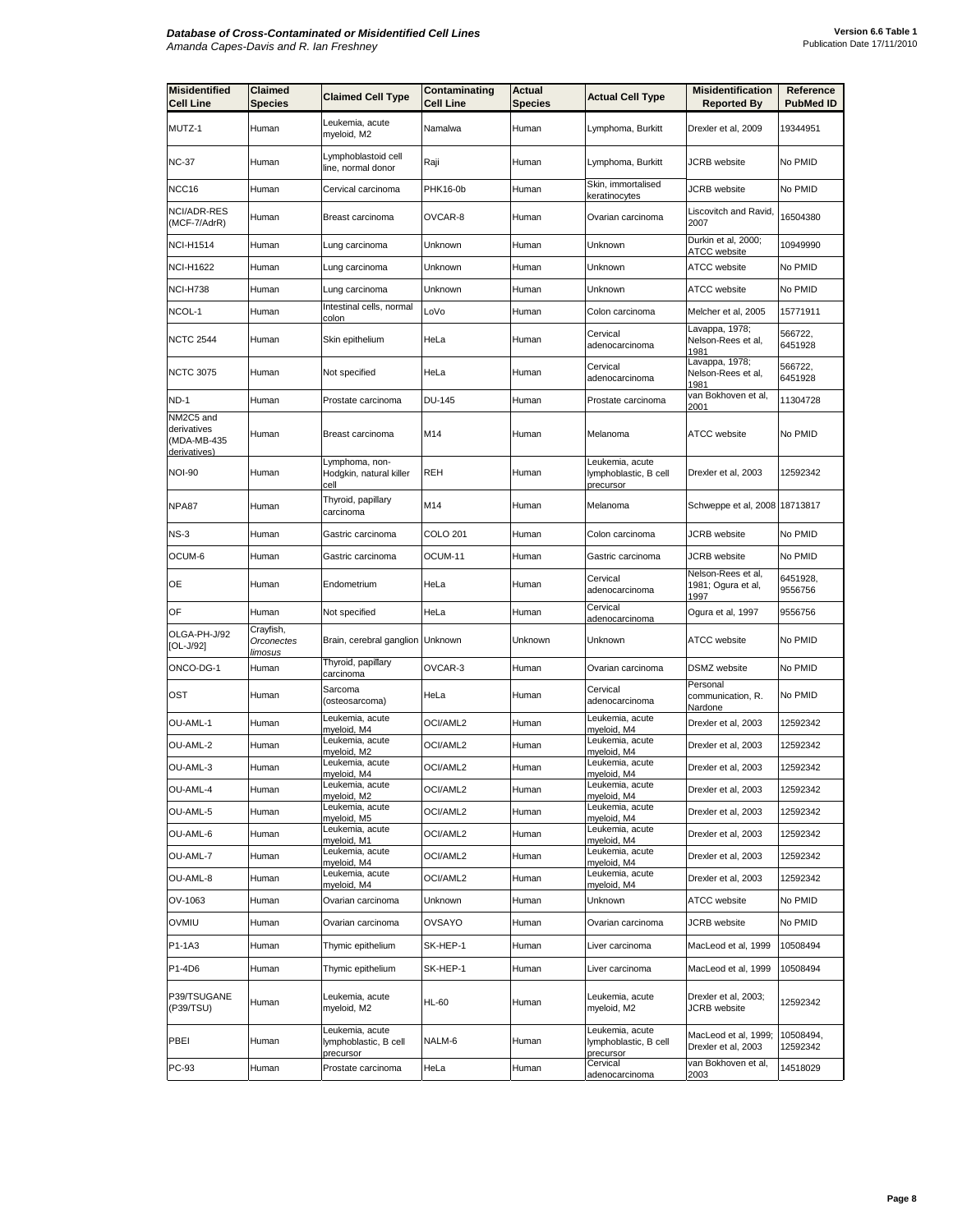| <b>Misidentified</b><br><b>Cell Line</b> | Claimed<br>Species                        | <b>Claimed Cell Type</b>                              | Contaminating<br><b>Cell Line</b> | Actual<br><b>Species</b> | <b>Actual Cell Type</b>                               | <b>Misidentification</b><br><b>Reported By</b>   | Reference<br><b>PubMed ID</b> |
|------------------------------------------|-------------------------------------------|-------------------------------------------------------|-----------------------------------|--------------------------|-------------------------------------------------------|--------------------------------------------------|-------------------------------|
| MUTZ-1                                   | Human                                     | Leukemia, acute<br>myeloid, M2                        | Namalwa                           | Human                    | Lymphoma, Burkitt                                     | Drexler et al, 2009                              | 19344951                      |
| <b>NC-37</b>                             | Human                                     | Lymphoblastoid cell<br>line, normal donor             | Raji                              | Human                    | Lymphoma, Burkitt                                     | <b>JCRB</b> website                              | No PMID                       |
| NCC16                                    | Human                                     | Cervical carcinoma                                    | <b>PHK16-0b</b>                   | Human                    | Skin, immortalised<br>keratinocytes                   | <b>JCRB</b> website                              | No PMID                       |
| NCI/ADR-RES<br>(MCF-7/AdrR)              | Human                                     | Breast carcinoma                                      | OVCAR-8                           | Human                    | Ovarian carcinoma                                     | Liscovitch and Ravid,<br>2007                    | 16504380                      |
| <b>NCI-H1514</b>                         | Human                                     | Lung carcinoma                                        | Unknown                           | Human                    | Unknown                                               | Durkin et al, 2000;<br>ATCC website              | 10949990                      |
| <b>NCI-H1622</b>                         | Human                                     | Lung carcinoma                                        | Unknown                           | Human                    | Unknown                                               | <b>ATCC</b> website                              | No PMID                       |
| <b>NCI-H738</b>                          | Human                                     | Lung carcinoma                                        | Unknown                           | Human                    | Unknown                                               | <b>ATCC</b> website                              | No PMID                       |
| NCOL-1                                   | Human                                     | Intestinal cells, normal<br>colon                     | LoVo                              | Human                    | Colon carcinoma                                       | Melcher et al, 2005                              | 15771911                      |
| <b>NCTC 2544</b>                         | Human                                     | Skin epithelium                                       | HeLa                              | Human                    | Cervical<br>adenocarcinoma                            | Lavappa, 1978;<br>Nelson-Rees et al,<br>1981     | 566722,<br>6451928            |
| <b>NCTC 3075</b>                         | Human                                     | Not specified                                         | HeLa                              | Human                    | Cervical<br>adenocarcinoma                            | Lavappa, 1978;<br>Nelson-Rees et al,<br>1981     | 566722,<br>6451928            |
| <b>ND-1</b>                              | Human                                     | Prostate carcinoma                                    | <b>DU-145</b>                     | Human                    | Prostate carcinoma                                    | van Bokhoven et al,<br>2001                      | 11304728                      |
| NM2C5 and<br>derivatives<br>(MDA-MB-435  | Human                                     | Breast carcinoma                                      | M14                               | Human                    | Melanoma                                              | <b>ATCC</b> website                              | No PMID                       |
| derivatives)<br><b>NOI-90</b>            | Human                                     | Lymphoma, non-<br>Hodgkin, natural killer<br>cell     | <b>REH</b>                        | Human                    | Leukemia, acute<br>lymphoblastic, B cell<br>precursor | Drexler et al, 2003                              | 12592342                      |
| NPA87                                    | Human                                     | Thyroid, papillary<br>carcinoma                       | M14                               | Human                    | Melanoma                                              | Schweppe et al, 2008 18713817                    |                               |
| NS-3                                     | Human                                     | Gastric carcinoma                                     | COLO 201                          | Human                    | Colon carcinoma                                       | <b>JCRB</b> website                              | No PMID                       |
| OCUM-6                                   | Human                                     | Gastric carcinoma                                     | OCUM-11                           | Human                    | Gastric carcinoma                                     | JCRB website                                     | No PMID                       |
| OE                                       | Human                                     | Endometrium                                           | HeLa                              | Human                    | Cervical<br>adenocarcinoma                            | Nelson-Rees et al,<br>1981; Ogura et al,<br>1997 | 6451928,<br>9556756           |
| OF                                       | Human                                     | Not specified                                         | HeLa                              | Human                    | Cervical<br>adenocarcinoma                            | Ogura et al, 1997                                | 9556756                       |
| OLGA-PH-J/92<br>[OL-J/92]                | Crayfish,<br>Orconectes<br><u>limosus</u> | Brain, cerebral ganglion Unknown                      |                                   | Unknown                  | Unknown                                               | <b>ATCC</b> website                              | No PMID                       |
| ONCO-DG-1                                | Human                                     | Thyroid, papillary<br>carcinoma                       | OVCAR-3                           | Human                    | Ovarian carcinoma                                     | DSMZ website                                     | No PMID                       |
| OST                                      | Human                                     | Sarcoma<br>(osteosarcoma)                             | HeLa                              | Human                    | Cervical<br>adenocarcinoma                            | Personal<br>communication, R.<br>Nardone         | No PMID                       |
| OU-AML-1                                 | Human                                     | Leukemia, acute<br>myeloid, M4                        | OCI/AML2                          | Human                    | Leukemia, acute<br>myeloid, M4                        | Drexler et al, 2003                              | 12592342                      |
| OU-AML-2                                 | Human                                     | Leukemia, acute<br>myeloid, M2                        | OCI/AML2                          | Human                    | Leukemia, acute<br>myeloid, M4                        | Drexler et al, 2003                              | 12592342                      |
| OU-AML-3                                 | Human                                     | Leukemia, acute<br>myeloid, M4                        | OCI/AML2                          | Human                    | Leukemia, acute<br>myeloid, M4                        | Drexler et al, 2003                              | 12592342                      |
| OU-AML-4                                 | Human                                     | Leukemia, acute<br>myeloid, M2                        | OCI/AML2                          | Human                    | Leukemia, acute<br>myeloid, M4                        | Drexler et al, 2003                              | 12592342                      |
| OU-AML-5                                 | Human                                     | Leukemia, acute<br>myeloid, M5                        | OCI/AML2                          | Human                    | Leukemia, acute<br>myeloid, M4                        | Drexler et al, 2003                              | 12592342                      |
| OU-AML-6                                 | Human                                     | Leukemia, acute<br>myeloid, M1                        | OCI/AML2                          | Human                    | Leukemia, acute<br>myeloid, M4                        | Drexler et al, 2003                              | 12592342                      |
| OU-AML-7                                 | Human                                     | Leukemia, acute<br>myeloid, M4                        | OCI/AML2                          | Human                    | Leukemia, acute<br>myeloid, M4                        | Drexler et al, 2003                              | 12592342                      |
| OU-AML-8                                 | Human                                     | Leukemia, acute<br>myeloid, M4                        | OCI/AML2                          | Human                    | Leukemia, acute<br>myeloid, M4                        | Drexler et al, 2003                              | 12592342                      |
| OV-1063                                  | Human                                     | Ovarian carcinoma                                     | Unknown                           | Human                    | Unknown                                               | ATCC website                                     | No PMID                       |
| OVMIU                                    | Human                                     | Ovarian carcinoma                                     | OVSAYO                            | Human                    | Ovarian carcinoma                                     | JCRB website                                     | No PMID                       |
| P1-1A3                                   | Human                                     | Thymic epithelium                                     | SK-HEP-1                          | Human                    | Liver carcinoma                                       | MacLeod et al, 1999                              | 10508494                      |
| P1-4D6                                   | Human                                     | Thymic epithelium                                     | SK-HEP-1                          | Human                    | Liver carcinoma                                       | MacLeod et al, 1999                              | 10508494                      |
| P39/TSUGANE<br>(P39/TSU)                 | Human                                     | Leukemia, acute<br>myeloid, M2                        | <b>HL-60</b>                      | Human                    | Leukemia, acute<br>myeloid, M2                        | Drexler et al, 2003;<br><b>JCRB</b> website      | 12592342                      |
| PBEI                                     | Human                                     | Leukemia, acute<br>lymphoblastic, B cell<br>precursor | NALM-6                            | Human                    | Leukemia, acute<br>lymphoblastic, B cell<br>precursor | MacLeod et al, 1999;<br>Drexler et al, 2003      | 10508494,<br>12592342         |
| PC-93                                    | Human                                     | Prostate carcinoma                                    | HeLa                              | Human                    | Cervical<br>adenocarcinoma                            | van Bokhoven et al,<br>2003                      | 14518029                      |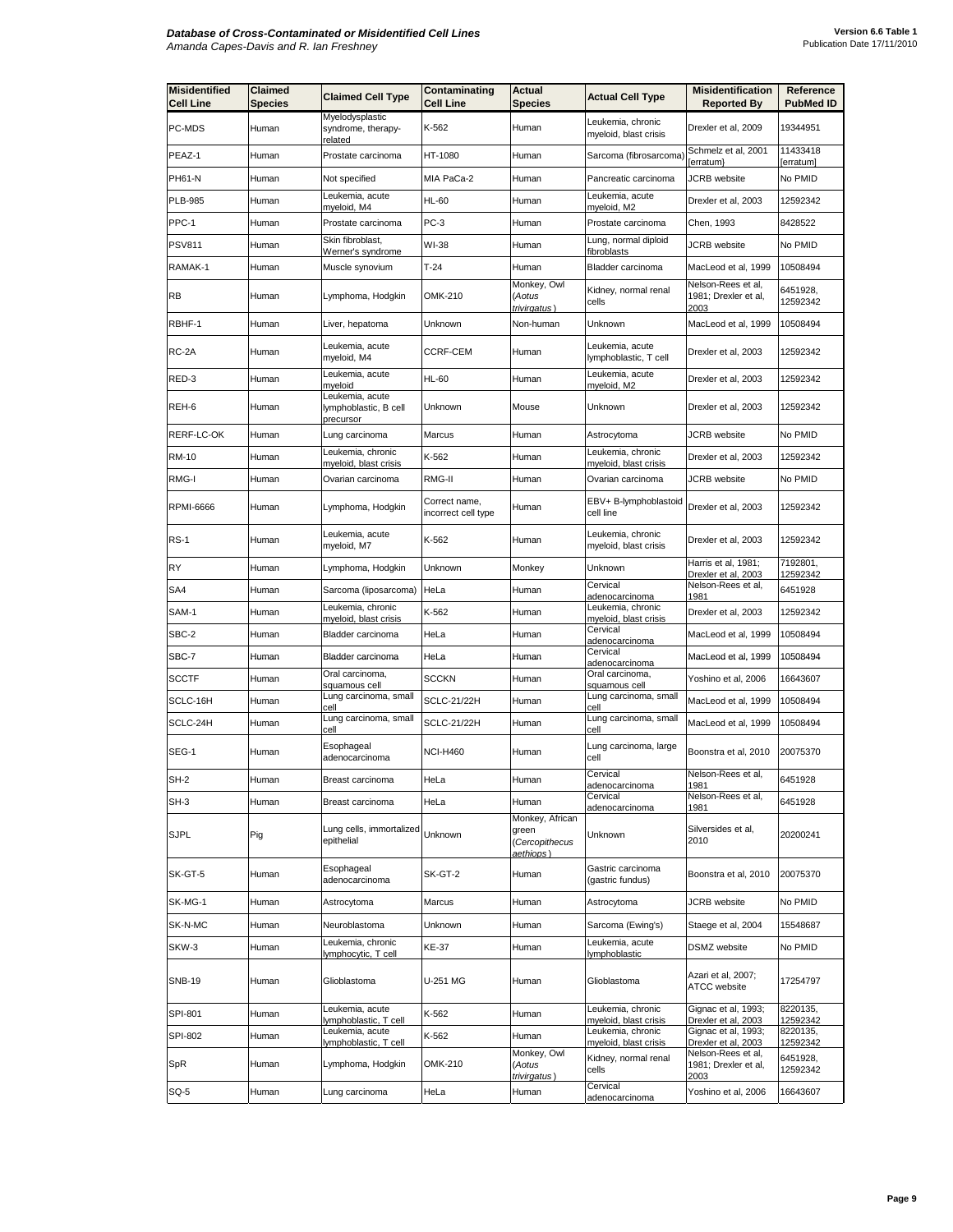| <b>Misidentified</b><br><b>Cell Line</b> | Claimed<br>Species | <b>Claimed Cell Type</b>                              | Contaminating<br><b>Cell Line</b>    | <b>Actual</b><br><b>Species</b>                         | <b>Actual Cell Type</b>                                | <b>Misidentification</b><br><b>Reported By</b>                            | Reference<br><b>PubMed ID</b>    |
|------------------------------------------|--------------------|-------------------------------------------------------|--------------------------------------|---------------------------------------------------------|--------------------------------------------------------|---------------------------------------------------------------------------|----------------------------------|
| PC-MDS                                   | Human              | Myelodysplastic<br>syndrome, therapy-<br>related      | K-562                                | Human                                                   | Leukemia, chronic<br>myeloid, blast crisis             | Drexler et al, 2009                                                       | 19344951                         |
| PEAZ-1                                   | Human              | Prostate carcinoma                                    | HT-1080                              | Human                                                   | Sarcoma (fibrosarcoma)                                 | Schmelz et al, 2001<br>erratum}                                           | 11433418<br>[erratum]            |
| PH61-N                                   | Human              | Not specified                                         | MIA PaCa-2                           | Human                                                   | Pancreatic carcinoma                                   | JCRB website                                                              | No PMID                          |
| <b>PLB-985</b>                           | Human              | Leukemia, acute<br>myeloid, M4                        | HL-60                                | Human                                                   | Leukemia, acute<br>myeloid, M2                         | Drexler et al, 2003                                                       | 12592342                         |
| PPC-1                                    | Human              | Prostate carcinoma                                    | PC-3                                 | Human                                                   | Prostate carcinoma                                     | Chen, 1993                                                                | 8428522                          |
| PSV811                                   | Human              | Skin fibroblast,<br>Werner's syndrome                 | WI-38                                | Human                                                   | Lung, normal diploid<br>fibroblasts                    | JCRB website                                                              | No PMID                          |
| RAMAK-1                                  | Human              | Muscle synovium                                       | $T-24$                               | Human                                                   | Bladder carcinoma                                      | MacLeod et al, 1999                                                       | 10508494                         |
| RB                                       | Human              | Lymphoma, Hodgkin                                     | OMK-210                              | Monkey, Owl<br>(Aotus<br>trivirgatus)                   | Kidney, normal renal<br>cells                          | Nelson-Rees et al,<br>1981; Drexler et al,<br>2003                        | 6451928,<br>12592342             |
| RBHF-1                                   | Human              | Liver, hepatoma                                       | Unknown                              | Non-human                                               | Unknown                                                | MacLeod et al, 1999                                                       | 10508494                         |
| RC-2A                                    | Human              | Leukemia, acute<br>myeloid, M4                        | CCRF-CEM                             | Human                                                   | Leukemia, acute<br>lymphoblastic, T cell               | Drexler et al, 2003                                                       | 12592342                         |
| RED-3                                    | Human              | Leukemia, acute<br>myeloid                            | <b>HL-60</b>                         | Human                                                   | Leukemia, acute<br>myeloid, M2                         | Drexler et al, 2003                                                       | 12592342                         |
| REH-6                                    | Human              | Leukemia, acute<br>lymphoblastic, B cell<br>precursor | Unknown                              | Mouse                                                   | Unknown                                                | Drexler et al, 2003                                                       | 12592342                         |
| RERF-LC-OK                               | Human              | Lung carcinoma                                        | Marcus                               | Human                                                   | Astrocytoma                                            | <b>JCRB</b> website                                                       | No PMID                          |
| <b>RM-10</b>                             | Human              | Leukemia, chronic<br>myeloid, blast crisis            | K-562                                | Human                                                   | Leukemia, chronic<br><u>myeloid, blast crisis</u>      | Drexler et al, 2003                                                       | 12592342                         |
| RMG-I                                    | Human              | Ovarian carcinoma                                     | RMG-II                               | Human                                                   | Ovarian carcinoma                                      | <b>JCRB</b> website                                                       | No PMID                          |
| <b>RPMI-6666</b>                         | Human              | Lymphoma, Hodgkin                                     | Correct name,<br>incorrect cell type | Human                                                   | EBV+ B-lymphoblastoid<br>cell line                     | Drexler et al, 2003                                                       | 12592342                         |
| RS-1                                     | Human              | Leukemia, acute<br>myeloid, M7                        | K-562                                | Human                                                   | Leukemia, chronic<br>myeloid, blast crisis             | Drexler et al, 2003                                                       | 12592342                         |
| RY                                       | Human              | Lymphoma, Hodgkin                                     | Unknown                              | Monkey                                                  | Unknown                                                | Harris et al, 1981;<br>Drexler et al, 2003                                | 7192801,<br>12592342             |
| SA4                                      | Human              | Sarcoma (liposarcoma)                                 | HeLa                                 | Human                                                   | Cervical<br>adenocarcinoma                             | Nelson-Rees et al,<br>1981                                                | 6451928                          |
| SAM-1                                    | Human              | Leukemia, chronic<br>myeloid, blast crisis            | K-562                                | Human                                                   | Leukemia, chronic<br>myeloid, blast crisis             | Drexler et al, 2003                                                       | 12592342                         |
| SBC-2                                    | Human              | Bladder carcinoma                                     | HeLa                                 | Human                                                   | Cervical<br>adenocarcinoma                             | MacLeod et al, 1999                                                       | 10508494                         |
| SBC-7                                    | Human              | Bladder carcinoma                                     | HeLa                                 | Human                                                   | Cervical<br>adenocarcinoma                             | MacLeod et al, 1999                                                       | 10508494                         |
| SCCTF                                    | Human              | Oral carcinoma,<br>squamous cell                      | SCCKN                                | Human                                                   | Oral carcinoma,<br>squamous cell                       | Yoshino et al, 2006                                                       | 16643607                         |
| SCLC-16H                                 | Human              | Lung carcinoma, small<br>cell                         | <b>SCLC-21/22H</b>                   | Human                                                   | Lung carcinoma, small<br>œ∥                            | MacLeod et al, 1999                                                       | 10508494                         |
| SCLC-24H                                 | Human              | Lung carcinoma, small<br>cell                         | <b>SCLC-21/22H</b>                   | Human                                                   | Lung carcinoma, small<br>cell                          | MacLeod et al, 1999                                                       | 10508494                         |
| SEG-1                                    | Human              | Esophageal<br>adenocarcinoma                          | <b>NCI-H460</b>                      | Human                                                   | Lung carcinoma, large<br>cell                          | Boonstra et al, 2010                                                      | 20075370                         |
| <b>SH-2</b>                              | Human              | Breast carcinoma                                      | HeLa                                 | Human                                                   | Cervical<br>adenocarcinoma                             | Nelson-Rees et al,<br>1981                                                | 6451928                          |
| SH-3                                     | Human              | Breast carcinoma                                      | HeLa                                 | Human                                                   | Cervical<br>adenocarcinoma                             | Nelson-Rees et al,<br>1981                                                | 6451928                          |
| <b>SJPL</b>                              | Pig                | Lung cells, immortalized<br>epithelial                | Unknown                              | Monkey, African<br>green<br>(Cercopithecus<br>aethiops) | Unknown                                                | Silversides et al,<br>2010                                                | 20200241                         |
| SK-GT-5                                  | Human              | Esophageal<br>adenocarcinoma                          | SK-GT-2                              | Human                                                   | Gastric carcinoma<br>(gastric fundus)                  | Boonstra et al, 2010                                                      | 20075370                         |
| SK-MG-1                                  | Human              | Astrocytoma                                           | Marcus                               | Human                                                   | Astrocytoma                                            | JCRB website                                                              | No PMID                          |
| SK-N-MC                                  | Human              | Neuroblastoma                                         | Unknown                              | Human                                                   | Sarcoma (Ewing's)                                      | Staege et al, 2004                                                        | 15548687                         |
| SKW-3                                    | Human              | Leukemia, chronic<br>lymphocytic, T cell              | KE-37                                | Human                                                   | Leukemia, acute<br>lymphoblastic                       | DSMZ website                                                              | No PMID                          |
| <b>SNB-19</b>                            | Human              | Glioblastoma                                          | U-251 MG                             | Human                                                   | Glioblastoma                                           | Azari et al, 2007;<br>ATCC website                                        | 17254797                         |
| SPI-801                                  | Human              | Leukemia, acute<br>lymphoblastic, T cell              | K-562                                | Human                                                   | eukemia, chronic<br>myeloid, blast crisis              | Gignac et al, 1993;<br>Drexler et al, 2003                                | 8220135,<br>12592342             |
| SPI-802                                  | Human              | Leukemia, acute                                       | K-562                                | Human                                                   | Leukemia, chronic                                      | Gignac et al, 1993;                                                       | 8220135,                         |
| SpR                                      | Human              | lymphoblastic, T cell<br>Lymphoma, Hodgkin            | OMK-210                              | Monkey, Owl<br>(Aotus<br>trivirgatus)                   | myeloid, blast crisis<br>Kidney, normal renal<br>cells | Drexler et al, 2003<br>Nelson-Rees et al,<br>1981; Drexler et al,<br>2003 | 12592342<br>6451928,<br>12592342 |
| SQ-5                                     | Human              | Lung carcinoma                                        | HeLa                                 | Human                                                   | Cervical<br>adenocarcinoma                             | Yoshino et al, 2006                                                       | 16643607                         |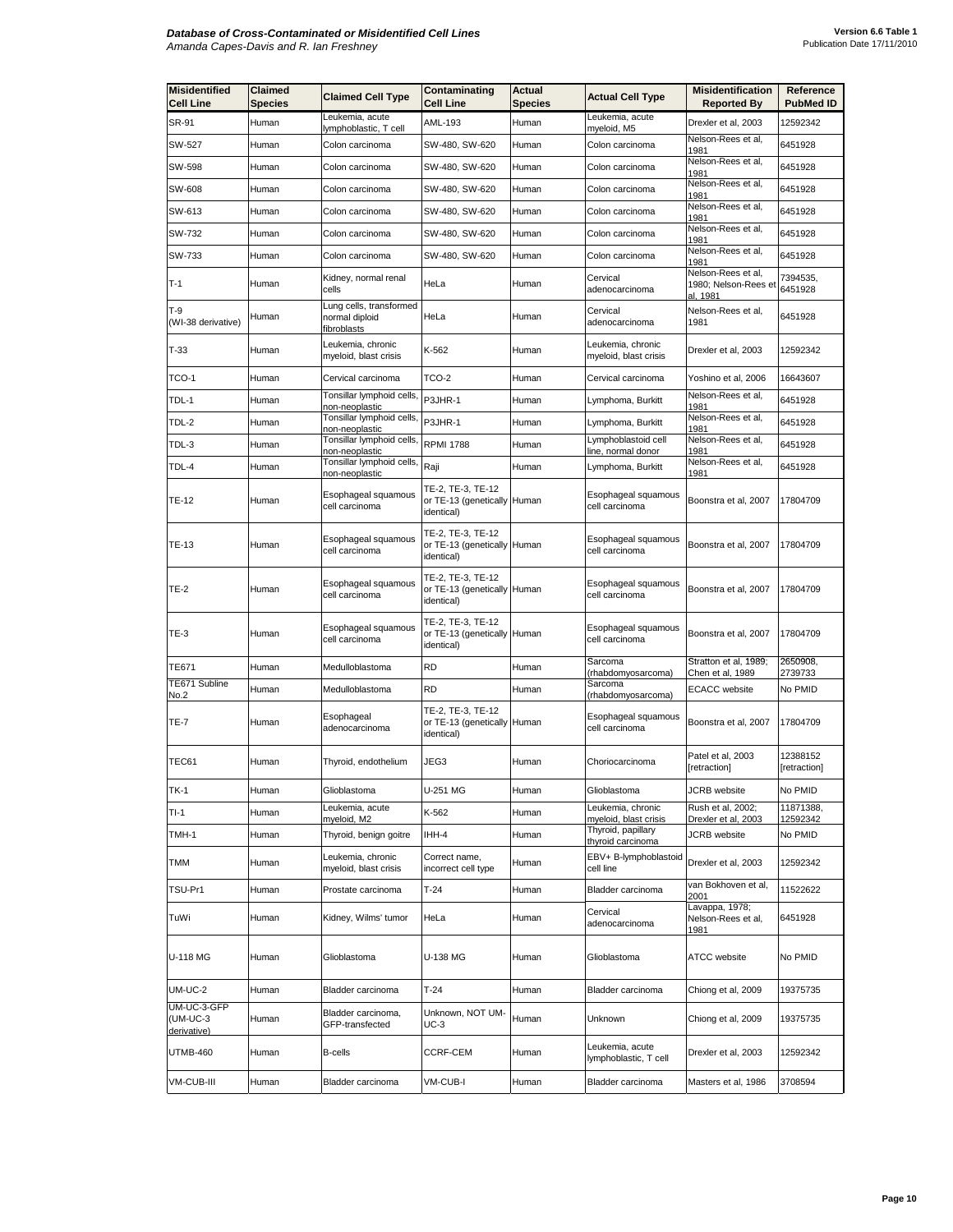| <b>Misidentified</b><br><b>Cell Line</b> | Claimed<br><b>Species</b> | <b>Claimed Cell Type</b>                                | Contaminating<br><b>Cell Line</b>                              | Actual<br><b>Species</b> | <b>Actual Cell Type</b>                    | <b>Misidentification</b><br><b>Reported By</b>         | Reference<br><b>PubMed ID</b> |
|------------------------------------------|---------------------------|---------------------------------------------------------|----------------------------------------------------------------|--------------------------|--------------------------------------------|--------------------------------------------------------|-------------------------------|
| SR-91                                    | Human                     | Leukemia, acute<br>lymphoblastic, T cell                | AML-193                                                        | Human                    | Leukemia, acute<br>myeloid, M5             | Drexler et al, 2003                                    | 12592342                      |
| SW-527                                   | Human                     | Colon carcinoma                                         | SW-480, SW-620                                                 | Human                    | Colon carcinoma                            | Nelson-Rees et al,<br>1981                             | 6451928                       |
| SW-598                                   | Human                     | Colon carcinoma                                         | SW-480, SW-620                                                 | Human                    | Colon carcinoma                            | Nelson-Rees et al,<br>1981                             | 6451928                       |
| SW-608                                   | Human                     | Colon carcinoma                                         | SW-480, SW-620                                                 | Human                    | Colon carcinoma                            | Nelson-Rees et al,<br>1981                             | 6451928                       |
| SW-613                                   | Human                     | Colon carcinoma                                         | SW-480, SW-620                                                 | Human                    | Colon carcinoma                            | Nelson-Rees et al,<br>1981                             | 6451928                       |
| SW-732                                   | Human                     | Colon carcinoma                                         | SW-480, SW-620                                                 | Human                    | Colon carcinoma                            | Nelson-Rees et al,<br>1981                             | 6451928                       |
| SW-733                                   | Human                     | Colon carcinoma                                         | SW-480, SW-620                                                 | Human                    | Colon carcinoma                            | Nelson-Rees et al,<br>1981                             | 6451928                       |
| $T-1$                                    | Human                     | Kidney, normal renal<br>cells                           | HeLa                                                           | Human                    | Cervical<br>adenocarcinoma                 | Nelson-Rees et al,<br>1980; Nelson-Rees et<br>al, 1981 | 7394535,<br>6451928           |
| T-9<br>(WI-38 derivative)                | Human                     | ung cells, transformed<br>normal diploid<br>fibroblasts | HeLa                                                           | Human                    | Cervical<br>adenocarcinoma                 | Nelson-Rees et al,<br>1981                             | 6451928                       |
| T-33                                     | Human                     | Leukemia, chronic<br>myeloid, blast crisis              | K-562                                                          | Human                    | Leukemia, chronic<br>myeloid, blast crisis | Drexler et al, 2003                                    | 12592342                      |
| TCO-1                                    | Human                     | Cervical carcinoma                                      | TCO-2                                                          | Human                    | Cervical carcinoma                         | Yoshino et al, 2006                                    | 16643607                      |
| TDL-1                                    | Human                     | Tonsillar lymphoid cells,<br>on-neoplastic              | P3JHR-1                                                        | Human                    | Lymphoma, Burkitt                          | Nelson-Rees et al,<br>1981                             | 6451928                       |
| TDL-2                                    | Human                     | Tonsillar lymphoid cells,<br>non-neoplastic             | P3JHR-1                                                        | Human                    | Lymphoma, Burkitt                          | Nelson-Rees et al,<br>1981                             | 6451928                       |
| TDL-3                                    | Human                     | Tonsillar lymphoid cells,<br>non-neoplastic             | <b>RPMI 1788</b>                                               | Human                    | _ymphoblastoid cell<br>ine, normal donor   | Nelson-Rees et al,<br>1981                             | 6451928                       |
| TDL-4                                    | Human                     | Tonsillar lymphoid cells,                               | Raji                                                           | Human                    | Lymphoma, Burkitt                          | Nelson-Rees et al,<br>1981                             | 6451928                       |
| TE-12                                    | Human                     | non-neoplastic<br>Esophageal squamous<br>cell carcinoma | TE-2, TE-3, TE-12<br>or TE-13 (genetically Human<br>identical) |                          | Esophageal squamous<br>cell carcinoma      | Boonstra et al, 2007                                   | 17804709                      |
| <b>TE-13</b>                             | Human                     | Esophageal squamous<br>cell carcinoma                   | TE-2, TE-3, TE-12<br>or TE-13 (genetically Human<br>identical) |                          | Esophageal squamous<br>cell carcinoma      | Boonstra et al, 2007                                   | 17804709                      |
| TE-2                                     | Human                     | Esophageal squamous<br>cell carcinoma                   | TE-2, TE-3, TE-12<br>or TE-13 (genetically Human<br>identical) |                          | Esophageal squamous<br>cell carcinoma      | Boonstra et al, 2007                                   | 17804709                      |
| TE-3                                     | Human                     | Esophageal squamous<br>cell carcinoma                   | TE-2, TE-3, TE-12<br>or TE-13 (genetically Human<br>identical) |                          | Esophageal squamous<br>cell carcinoma      | Boonstra et al, 2007                                   | 17804709                      |
| TE671                                    | Human                     | Medulloblastoma                                         | <b>RD</b>                                                      | Human                    | Sarcoma<br>(rhabdomyosarcoma)              | Stratton et al, 1989;<br><u>Chen et al, 1989</u>       | 2650908,<br>2739733           |
| TE671 Subline<br>No.2                    | Human                     | Medulloblastoma                                         | <b>RD</b>                                                      | Human                    | Sarcoma<br>(rhabdomyosarcoma)              | <b>ECACC</b> website                                   | No PMID                       |
| TE-7                                     | Human                     | Esophageal<br>adenocarcinoma                            | TE-2, TE-3, TE-12<br>or TE-13 (genetically Human<br>identical) |                          | Esophageal squamous<br>cell carcinoma      | Boonstra et al, 2007                                   | 17804709                      |
| TEC61                                    | Human                     | Thyroid, endothelium                                    | JEG3                                                           | Human                    | Choriocarcinoma                            | Patel et al, 2003<br>[retraction]                      | 12388152<br>[retraction]      |
| <b>TK-1</b>                              | Human                     | Glioblastoma                                            | U-251 MG                                                       | Human                    | Glioblastoma                               | <b>JCRB</b> website                                    | No PMID                       |
| $TI-1$                                   | Human                     | eukemia, acute<br>myeloid, M2                           | K-562                                                          | Human                    | eukemia, chronic<br>myeloid, blast crisis  | Rush et al, 2002;<br>Drexler et al, 2003               | 11871388,<br>12592342         |
| TMH-1                                    | Human                     | Thyroid, benign goitre                                  | IHH-4                                                          | Human                    | Thyroid, papillary<br>thyroid carcinoma    | <b>JCRB</b> website                                    | No PMID                       |
| TMM                                      | Human                     | Leukemia, chronic<br>myeloid, blast crisis              | Correct name.<br>incorrect cell type                           | Human                    | EBV+ B-lymphoblastoid<br>cell line         | Drexler et al, 2003                                    | 12592342                      |
| TSU-Pr1                                  | Human                     | Prostate carcinoma                                      | $T-24$                                                         | Human                    | Bladder carcinoma                          | van Bokhoven et al,<br>2001                            | 11522622                      |
| TuWi                                     | Human                     | Kidney, Wilms' tumor                                    | HeLa                                                           | Human                    | Cervical<br>adenocarcinoma                 | Lavappa, 1978;<br>Nelson-Rees et al,<br>1981           | 6451928                       |
| U-118 MG                                 | Human                     | Glioblastoma                                            | U-138 MG                                                       | Human                    | Glioblastoma                               | <b>ATCC</b> website                                    | No PMID                       |
| UM-UC-2                                  | Human                     | Bladder carcinoma                                       | $T-24$                                                         | Human                    | Bladder carcinoma                          | Chiong et al, 2009                                     | 19375735                      |
| UM-UC-3-GFP<br>(UM-UC-3<br>derivative)   | Human                     | Bladder carcinoma,<br>GFP-transfected                   | Unknown, NOT UM-<br>UC-3                                       | Human                    | Unknown                                    | Chiong et al, 2009                                     | 19375735                      |
| UTMB-460                                 | Human                     | <b>B-cells</b>                                          | <b>CCRF-CEM</b>                                                | Human                    | Leukemia, acute<br>lymphoblastic, T cell   | Drexler et al, 2003                                    | 12592342                      |
| VM-CUB-III                               | Human                     | Bladder carcinoma                                       | VM-CUB-I                                                       | Human                    | Bladder carcinoma                          | Masters et al, 1986                                    | 3708594                       |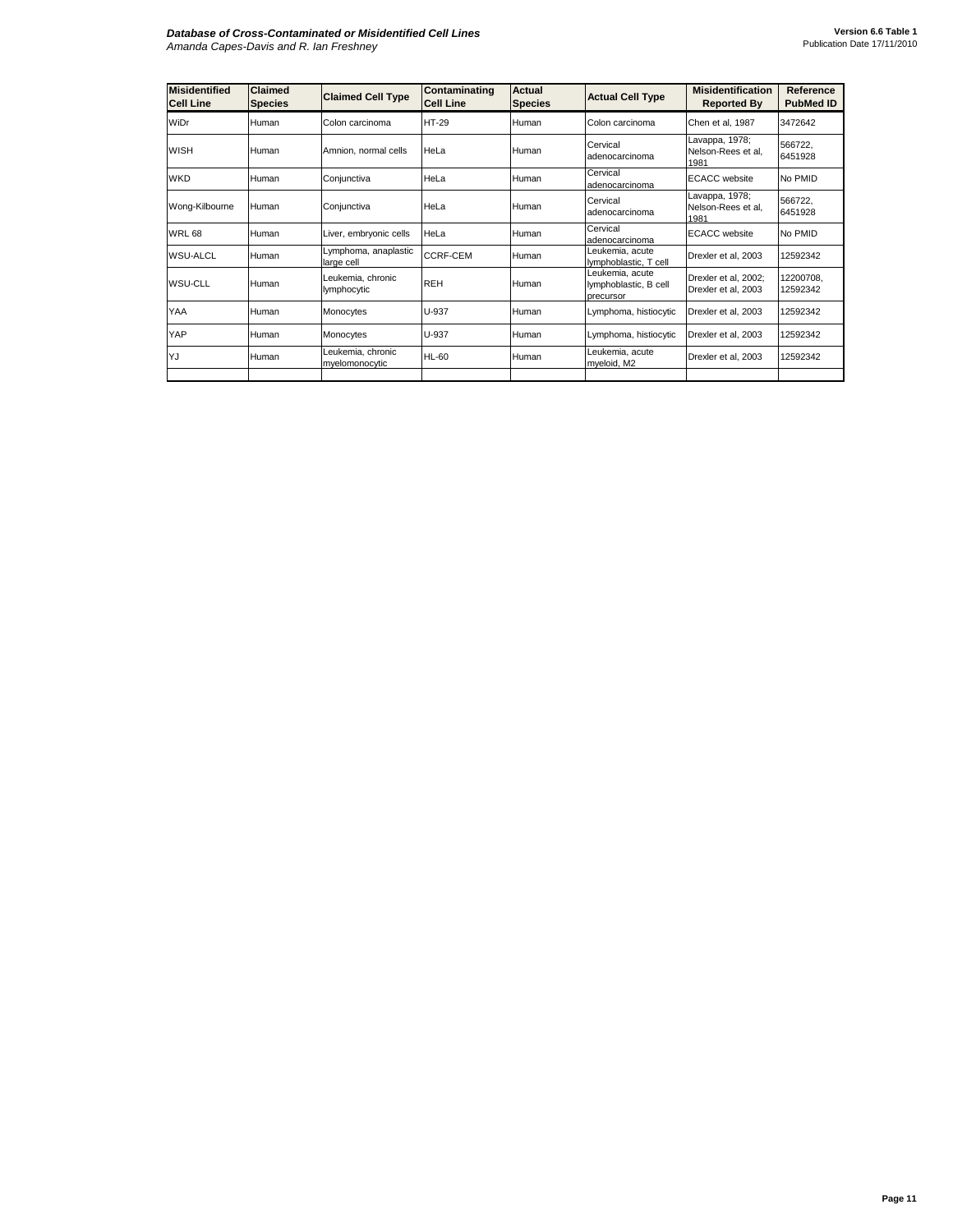| <b>Misidentified</b><br><b>Cell Line</b> | Claimed<br><b>Species</b> | <b>Claimed Cell Type</b>            | Contaminating<br><b>Cell Line</b> | <b>Actual</b><br><b>Species</b> | <b>Actual Cell Type</b>                               | <b>Misidentification</b><br><b>Reported By</b> | Reference<br><b>PubMed ID</b> |
|------------------------------------------|---------------------------|-------------------------------------|-----------------------------------|---------------------------------|-------------------------------------------------------|------------------------------------------------|-------------------------------|
| WiDr                                     | Human                     | Colon carcinoma                     | <b>HT-29</b>                      | Human                           | Colon carcinoma                                       | Chen et al, 1987                               | 3472642                       |
| <b>WISH</b>                              | Human                     | Amnion, normal cells                | Hel a                             | Human                           | Cervical<br>adenocarcinoma                            | Lavappa, 1978;<br>Nelson-Rees et al,<br>1981   | 566722,<br>6451928            |
| <b>WKD</b>                               | Human                     | Conjunctiva                         | HeLa                              | Human                           | Cervical<br>adenocarcinoma                            | <b>ECACC</b> website                           | No PMID                       |
| Wong-Kilbourne                           | Human                     | Conjunctiva                         | HeLa                              | Human                           | Cervical<br>adenocarcinoma                            | Lavappa, 1978;<br>Nelson-Rees et al,<br>1981   | 566722.<br>6451928            |
| <b>WRL 68</b>                            | Human                     | Liver, embryonic cells              | HeLa                              | Human                           | Cervical<br>adenocarcinoma                            | <b>ECACC</b> website                           | No PMID                       |
| <b>WSU-ALCL</b>                          | Human                     | Lymphoma, anaplastic<br>large cell  | CCRF-CEM                          | Human                           | Leukemia, acute<br>lymphoblastic, T cell              | Drexler et al. 2003                            | 12592342                      |
| WSU-CLL                                  | Human                     | Leukemia, chronic<br>lymphocytic    | <b>REH</b>                        | Human                           | Leukemia, acute<br>lymphoblastic, B cell<br>precursor | Drexler et al, 2002;<br>Drexler et al, 2003    | 12200708,<br>12592342         |
| YAA                                      | Human                     | Monocytes                           | U-937                             | Human                           | Lymphoma, histiocytic                                 | Drexler et al. 2003                            | 12592342                      |
| YAP                                      | Human                     | Monocytes                           | U-937                             | Human                           | Lymphoma, histiocytic                                 | Drexler et al. 2003                            | 12592342                      |
| YJ                                       | Human                     | Leukemia, chronic<br>myelomonocytic | <b>HL-60</b>                      | Human                           | Leukemia, acute<br>myeloid, M2                        | Drexler et al, 2003                            | 12592342                      |
|                                          |                           |                                     |                                   |                                 |                                                       |                                                |                               |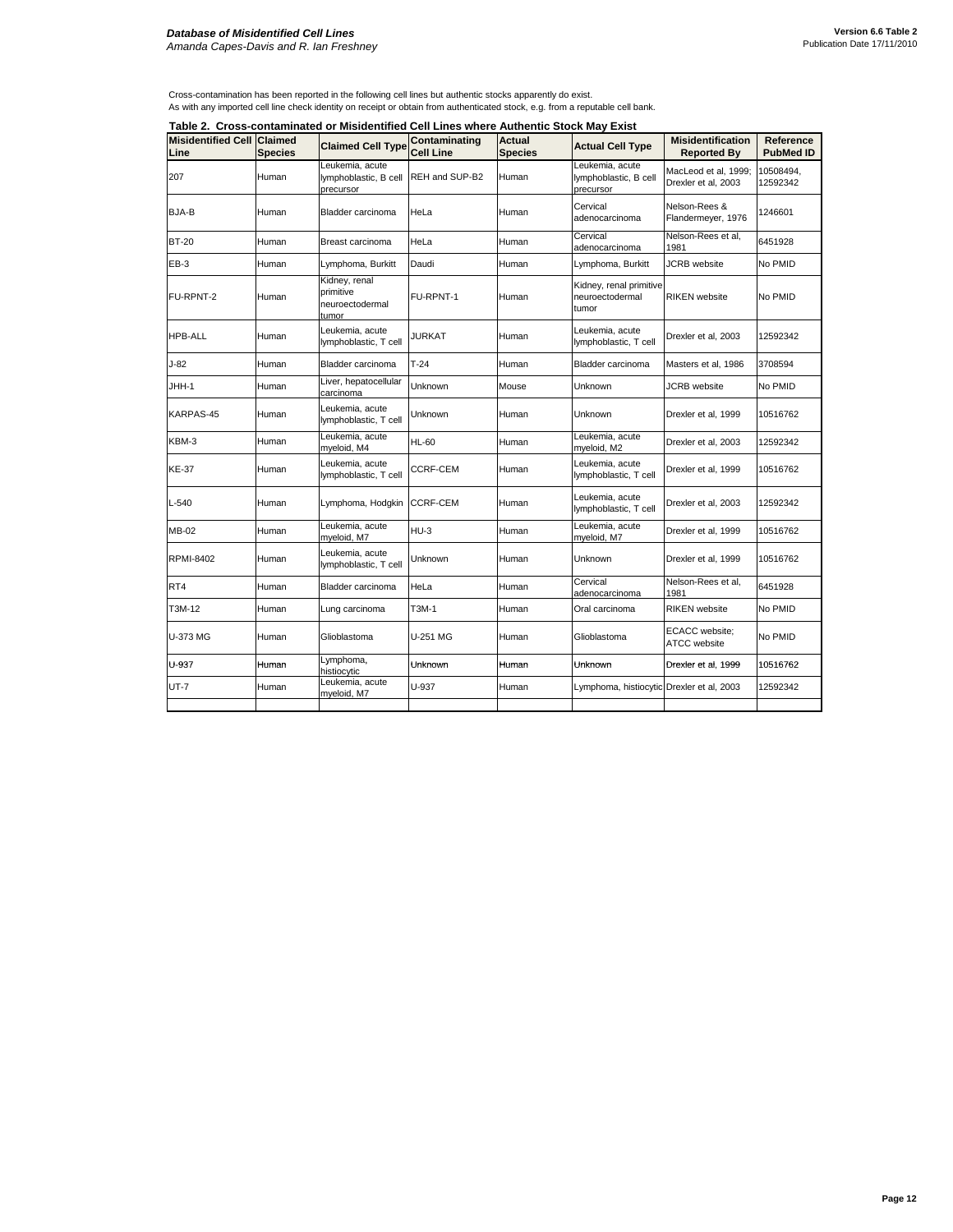## *Database of Misidentified Cell Lines Amanda Capes-Davis and R. Ian Freshney*

Cross-contamination has been reported in the following cell lines but authentic stocks apparently do exist.

As with any imported cell line check identity on receipt or obtain from authenticated stock, e.g. from a reputable cell bank.

**Table 2. Cross-contaminated or Misidentified Cell Lines where Authentic Stock May Exist**

|                  | Table 2. Cross-contaminated or Misidentified Cell Lines where Authentic Stock May Exist<br><b>Misidentified Cell Claimed</b> |                                                        |                                   |                |                                                       |                                             |                               |
|------------------|------------------------------------------------------------------------------------------------------------------------------|--------------------------------------------------------|-----------------------------------|----------------|-------------------------------------------------------|---------------------------------------------|-------------------------------|
|                  |                                                                                                                              | <b>Claimed Cell Type</b>                               | Contaminating<br><b>Cell Line</b> | Actual         | <b>Actual Cell Type</b>                               | <b>Misidentification</b>                    | Reference<br><b>PubMed ID</b> |
| Line             | <b>Species</b>                                                                                                               |                                                        |                                   | <b>Species</b> |                                                       | Reported By                                 |                               |
| 207              | Human                                                                                                                        | Leukemia, acute<br>lymphoblastic, B cell<br>precursor  | REH and SUP-B2                    | Human          | Leukemia, acute<br>lymphoblastic, B cell<br>precursor | MacLeod et al, 1999;<br>Drexler et al, 2003 | 10508494,<br>12592342         |
| BJA-B            | Human                                                                                                                        | Bladder carcinoma                                      | HeLa                              | Human          | Cervical<br>adenocarcinoma                            | Nelson-Rees &<br>Flandermeyer, 1976         | 1246601                       |
| <b>BT-20</b>     | Human                                                                                                                        | Breast carcinoma                                       | HeLa                              | Human          | Cervical<br>adenocarcinoma                            | Nelson-Rees et al.<br>1981                  | 6451928                       |
| EB-3             | Human                                                                                                                        | Lymphoma, Burkitt                                      | Daudi                             | Human          | Lymphoma, Burkitt                                     | <b>JCRB</b> website                         | No PMID                       |
| FU-RPNT-2        | Human                                                                                                                        | Kidney, renal<br>primitive<br>neuroectodermal<br>tumor | FU-RPNT-1                         | Human          | Kidney, renal primitive<br>neuroectodermal<br>tumor   | <b>RIKEN</b> website                        | No PMID                       |
| <b>HPB-ALL</b>   | Human                                                                                                                        | Leukemia, acute<br>lymphoblastic, T cell               | JURKAT                            | Human          | Leukemia, acute<br>lymphoblastic, T cell              | Drexler et al, 2003                         | 12592342                      |
| J-82             | Human                                                                                                                        | Bladder carcinoma                                      | $T-24$                            | Human          | Bladder carcinoma                                     | Masters et al, 1986                         | 3708594                       |
| JHH-1            | Human                                                                                                                        | Liver, hepatocellular<br>carcinoma                     | Unknown                           | Mouse          | Unknown                                               | <b>JCRB</b> website                         | No PMID                       |
| KARPAS-45        | Human                                                                                                                        | Leukemia, acute<br>lymphoblastic, T cell               | Unknown                           | Human          | Unknown                                               | Drexler et al, 1999                         | 10516762                      |
| KBM-3            | Human                                                                                                                        | Leukemia, acute<br>myeloid, M4                         | <b>HL-60</b>                      | Human          | Leukemia, acute<br>myeloid, M2                        | Drexler et al, 2003                         | 12592342                      |
| <b>KE-37</b>     | Human                                                                                                                        | Leukemia, acute<br>lymphoblastic, T cell               | CCRF-CEM                          | Human          | Leukemia, acute<br>lymphoblastic, T cell              | Drexler et al, 1999                         | 10516762                      |
| $L-540$          | Human                                                                                                                        | Lymphoma, Hodgkin                                      | <b>CCRF-CEM</b>                   | Human          | Leukemia, acute<br>lymphoblastic, T cell              | Drexler et al, 2003                         | 12592342                      |
| MB-02            | Human                                                                                                                        | Leukemia, acute<br>myeloid, M7                         | $HU-3$                            | Human          | Leukemia, acute<br>myeloid, M7                        | Drexler et al, 1999                         | 10516762                      |
| <b>RPMI-8402</b> | Human                                                                                                                        | Leukemia, acute<br>lymphoblastic, T cell               | Unknown                           | Human          | Unknown                                               | Drexler et al, 1999                         | 10516762                      |
| RT4              | Human                                                                                                                        | Bladder carcinoma                                      | HeLa                              | Human          | Cervical<br>adenocarcinoma                            | Nelson-Rees et al.<br>1981                  | 6451928                       |
| T3M-12           | Human                                                                                                                        | Lung carcinoma                                         | T3M-1                             | Human          | Oral carcinoma                                        | <b>RIKEN</b> website                        | No PMID                       |
| U-373 MG         | Human                                                                                                                        | Glioblastoma                                           | <b>U-251 MG</b>                   | Human          | Glioblastoma                                          | <b>ECACC</b> website;<br>ATCC website       | No PMID                       |
| U-937            | Human                                                                                                                        | Lymphoma,<br>histiocytic                               | Unknown                           | Human          | Unknown                                               | Drexler et al, 1999                         | 10516762                      |
| UT-7             | Human                                                                                                                        | Leukemia, acute<br>myeloid, M7                         | U-937                             | Human          | Lymphoma, histiocytic Drexler et al, 2003             |                                             | 12592342                      |
|                  |                                                                                                                              |                                                        |                                   |                |                                                       |                                             |                               |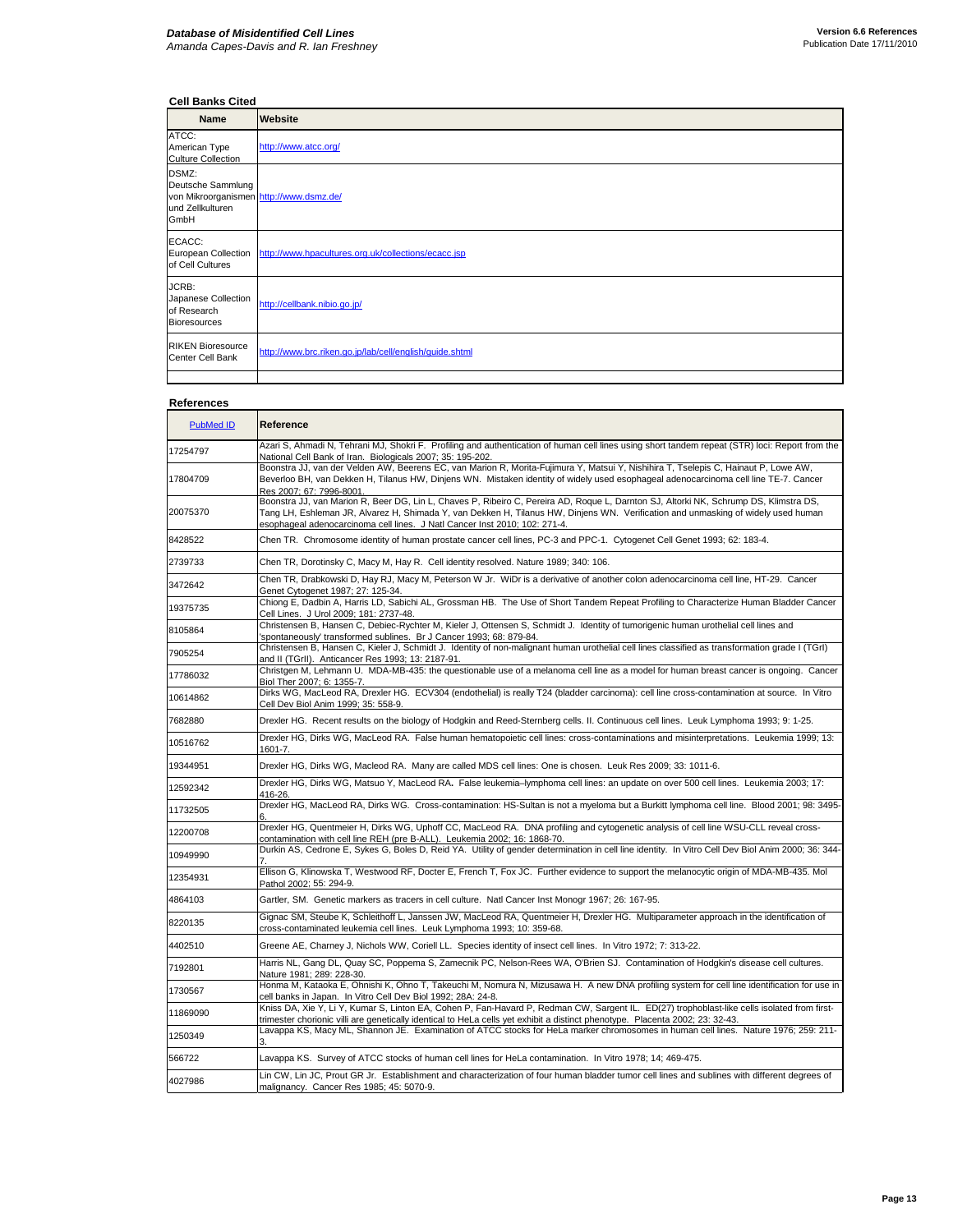## **Cell Banks Cited**

| <b>Name</b>                                                                                       | Website                                                 |
|---------------------------------------------------------------------------------------------------|---------------------------------------------------------|
| ATCC:<br>American Type<br><b>Culture Collection</b>                                               | http://www.atcc.org/                                    |
| DSMZ:<br>Deutsche Sammlung<br>von Mikroorganismen http://www.dsmz.de/<br>und Zellkulturen<br>GmbH |                                                         |
| ECACC:<br><b>European Collection</b><br>of Cell Cultures                                          | http://www.hpacultures.org.uk/collections/ecacc.jsp     |
| JCRB:<br>Japanese Collection<br>of Research<br><b>Bioresources</b>                                | http://cellbank.nibio.go.jp/                            |
| <b>RIKEN Bioresource</b><br>Center Cell Bank                                                      | http://www.brc.riken.go.jp/lab/cell/english/guide.shtml |
|                                                                                                   |                                                         |

## **References**

| PubMed ID | Reference                                                                                                                                                                                                                                                                                                                                                |
|-----------|----------------------------------------------------------------------------------------------------------------------------------------------------------------------------------------------------------------------------------------------------------------------------------------------------------------------------------------------------------|
| 17254797  | Azari S, Ahmadi N, Tehrani MJ, Shokri F. Profiling and authentication of human cell lines using short tandem repeat (STR) loci: Report from the<br>National Cell Bank of Iran. Biologicals 2007; 35: 195-202.                                                                                                                                            |
| 17804709  | Boonstra JJ, van der Velden AW, Beerens EC, van Marion R, Morita-Fujimura Y, Matsui Y, Nishihira T, Tselepis C, Hainaut P, Lowe AW,<br>Beverloo BH, van Dekken H, Tilanus HW, Dinjens WN. Mistaken identity of widely used esophageal adenocarcinoma cell line TE-7. Cancer<br>Res 2007: 67: 7996-8001                                                   |
| 20075370  | Boonstra JJ, van Marion R, Beer DG, Lin L, Chaves P, Ribeiro C, Pereira AD, Roque L, Darnton SJ, Altorki NK, Schrump DS, Klimstra DS,<br>Tang LH, Eshleman JR, Alvarez H, Shimada Y, van Dekken H, Tilanus HW, Dinjens WN. Verification and unmasking of widely used human<br>esophageal adenocarcinoma cell lines. J Natl Cancer Inst 2010; 102: 271-4. |
| 8428522   | Chen TR. Chromosome identity of human prostate cancer cell lines, PC-3 and PPC-1. Cytogenet Cell Genet 1993; 62: 183-4.                                                                                                                                                                                                                                  |
| 2739733   | Chen TR, Dorotinsky C, Macy M, Hay R. Cell identity resolved. Nature 1989; 340: 106.                                                                                                                                                                                                                                                                     |
| 3472642   | Chen TR, Drabkowski D, Hay RJ, Macy M, Peterson W Jr. WiDr is a derivative of another colon adenocarcinoma cell line, HT-29. Cancer<br>Genet Cytogenet 1987; 27: 125-34.                                                                                                                                                                                 |
| 19375735  | Chiong E, Dadbin A, Harris LD, Sabichi AL, Grossman HB. The Use of Short Tandem Repeat Profiling to Characterize Human Bladder Cancer<br>Cell Lines. J Urol 2009; 181: 2737-48.                                                                                                                                                                          |
| 8105864   | Christensen B, Hansen C, Debiec-Rychter M, Kieler J, Ottensen S, Schmidt J. Identity of tumorigenic human urothelial cell lines and<br>'spontaneously' transformed sublines. Br J Cancer 1993; 68: 879-84.                                                                                                                                               |
| 7905254   | Christensen B, Hansen C, Kieler J, Schmidt J. Identity of non-malignant human urothelial cell lines classified as transformation grade I (TGrI)<br>and II (TGrII). Anticancer Res 1993; 13: 2187-91.                                                                                                                                                     |
| 17786032  | Christgen M, Lehmann U. MDA-MB-435: the questionable use of a melanoma cell line as a model for human breast cancer is ongoing. Cancer<br>Biol Ther 2007; 6: 1355-7.                                                                                                                                                                                     |
| 10614862  | Dirks WG, MacLeod RA, Drexler HG. ECV304 (endothelial) is really T24 (bladder carcinoma): cell line cross-contamination at source. In Vitro<br>Cell Dev Biol Anim 1999; 35: 558-9.                                                                                                                                                                       |
| 7682880   | Drexler HG. Recent results on the biology of Hodgkin and Reed-Sternberg cells. II. Continuous cell lines. Leuk Lymphoma 1993; 9: 1-25.                                                                                                                                                                                                                   |
| 10516762  | Drexler HG, Dirks WG, MacLeod RA. False human hematopoietic cell lines: cross-contaminations and misinterpretations. Leukemia 1999; 13:<br>1601-7.                                                                                                                                                                                                       |
| 19344951  | Drexler HG, Dirks WG, Macleod RA. Many are called MDS cell lines: One is chosen. Leuk Res 2009; 33: 1011-6.                                                                                                                                                                                                                                              |
| 12592342  | Drexler HG, Dirks WG, Matsuo Y, MacLeod RA. False leukemia-lymphoma cell lines: an update on over 500 cell lines. Leukemia 2003; 17:<br>416-26.                                                                                                                                                                                                          |
| 11732505  | Drexler HG, MacLeod RA, Dirks WG. Cross-contamination: HS-Sultan is not a myeloma but a Burkitt lymphoma cell line. Blood 2001; 98: 3495-                                                                                                                                                                                                                |
| 12200708  | Drexler HG, Quentmeier H, Dirks WG, Uphoff CC, MacLeod RA. DNA profiling and cytogenetic analysis of cell line WSU-CLL reveal cross-<br>contamination with cell line REH (pre B-ALL). Leukemia 2002; 16: 1868-70.                                                                                                                                        |
| 10949990  | Durkin AS, Cedrone E, Sykes G, Boles D, Reid YA. Utility of gender determination in cell line identity. In Vitro Cell Dev Biol Anim 2000; 36: 344-                                                                                                                                                                                                       |
| 12354931  | Ellison G, Klinowska T, Westwood RF, Docter E, French T, Fox JC. Further evidence to support the melanocytic origin of MDA-MB-435. Mol<br>Pathol 2002; 55: 294-9.                                                                                                                                                                                        |
| 4864103   | Gartler, SM. Genetic markers as tracers in cell culture. Natl Cancer Inst Monogr 1967; 26: 167-95.                                                                                                                                                                                                                                                       |
| 8220135   | Gignac SM, Steube K, Schleithoff L, Janssen JW, MacLeod RA, Quentmeier H, Drexler HG. Multiparameter approach in the identification of<br>cross-contaminated leukemia cell lines. Leuk Lymphoma 1993; 10: 359-68.                                                                                                                                        |
| 4402510   | Greene AE, Charney J, Nichols WW, Coriell LL. Species identity of insect cell lines. In Vitro 1972; 7: 313-22.                                                                                                                                                                                                                                           |
| 7192801   | Harris NL, Gang DL, Quay SC, Poppema S, Zamecnik PC, Nelson-Rees WA, O'Brien SJ. Contamination of Hodgkin's disease cell cultures.<br>Nature 1981; 289: 228-30.                                                                                                                                                                                          |
| 1730567   | Honma M, Kataoka E, Ohnishi K, Ohno T, Takeuchi M, Nomura N, Mizusawa H. A new DNA profiling system for cell line identification for use in<br>cell banks in Japan. In Vitro Cell Dev Biol 1992; 28A: 24-8.                                                                                                                                              |
| 11869090  | Kniss DA, Xie Y, Li Y, Kumar S, Linton EA, Cohen P, Fan-Havard P, Redman CW, Sargent IL. ED(27) trophoblast-like cells isolated from first-<br>trimester chorionic villi are genetically identical to HeLa cells yet exhibit a distinct phenotype. Placenta 2002; 23: 32-43.                                                                             |
| 1250349   | Lavappa KS, Macy ML, Shannon JE. Examination of ATCC stocks for HeLa marker chromosomes in human cell lines. Nature 1976; 259: 211-                                                                                                                                                                                                                      |
| 566722    | Lavappa KS. Survey of ATCC stocks of human cell lines for HeLa contamination. In Vitro 1978; 14; 469-475.                                                                                                                                                                                                                                                |
| 4027986   | Lin CW, Lin JC, Prout GR Jr. Establishment and characterization of four human bladder tumor cell lines and sublines with different degrees of<br>malignancy. Cancer Res 1985; 45: 5070-9.                                                                                                                                                                |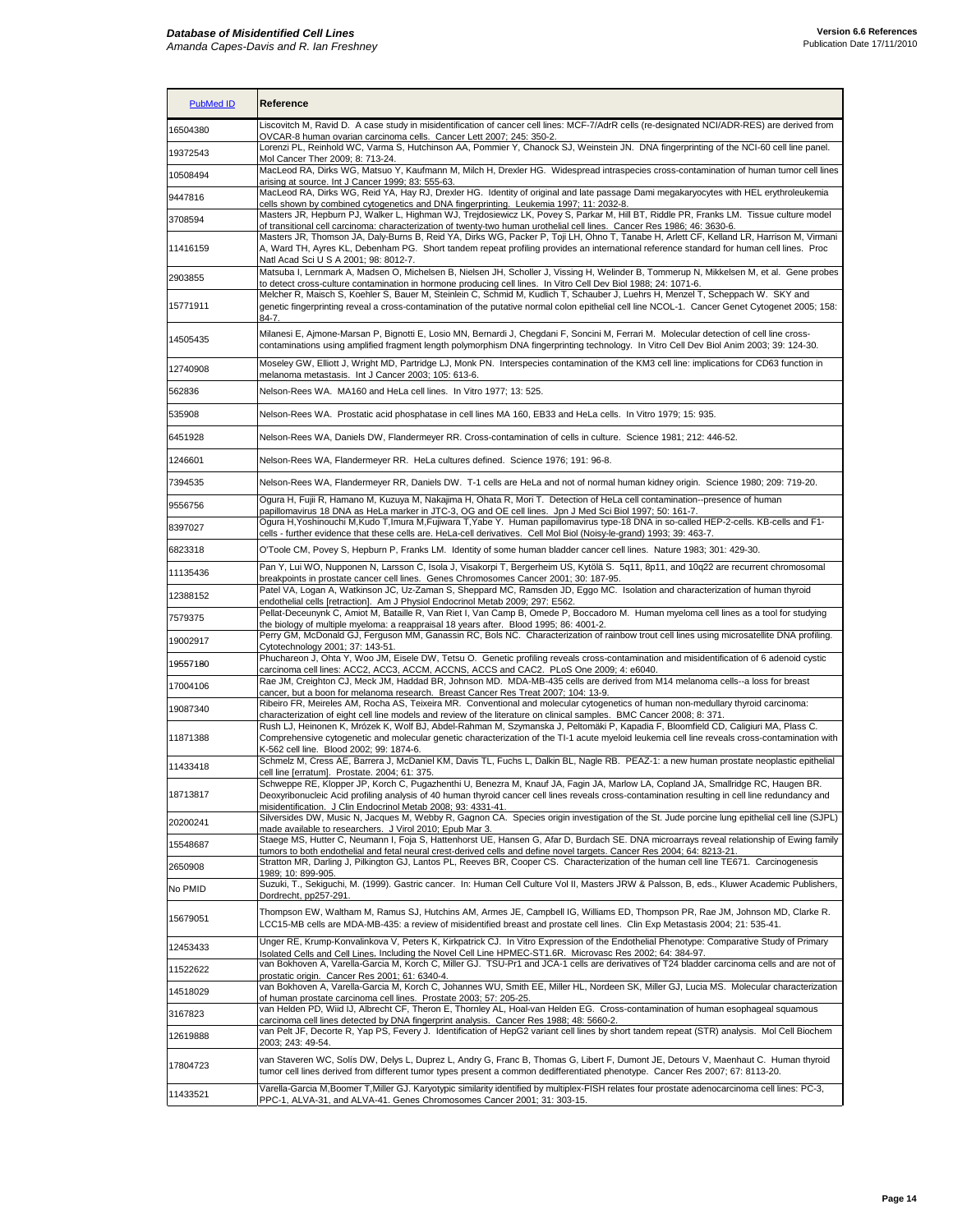| <b>PubMed ID</b>     | Reference                                                                                                                                                                                                                                                                                                                                                            |
|----------------------|----------------------------------------------------------------------------------------------------------------------------------------------------------------------------------------------------------------------------------------------------------------------------------------------------------------------------------------------------------------------|
| 16504380             | Liscovitch M, Ravid D. A case study in misidentification of cancer cell lines: MCF-7/AdrR cells (re-designated NCI/ADR-RES) are derived from<br>OVCAR-8 human ovarian carcinoma cells. Cancer Lett 2007; 245: 350-2.                                                                                                                                                 |
| 19372543             | Lorenzi PL, Reinhold WC, Varma S, Hutchinson AA, Pommier Y, Chanock SJ, Weinstein JN. DNA fingerprinting of the NCI-60 cell line panel.<br>Mol Cancer Ther 2009; 8: 713-24.                                                                                                                                                                                          |
| 10508494             | MacLeod RA, Dirks WG, Matsuo Y, Kaufmann M, Milch H, Drexler HG. Widespread intraspecies cross-contamination of human tumor cell lines<br>arising at source. Int J Cancer 1999; 83: 555-63.                                                                                                                                                                          |
| 9447816              | MacLeod RA, Dirks WG, Reid YA, Hay RJ, Drexler HG. Identity of original and late passage Dami megakaryocytes with HEL erythroleukemia<br>cells shown by combined cytogenetics and DNA fingerprinting. Leukemia 1997; 11: 2032-8.                                                                                                                                     |
| 3708594              | Masters JR, Hepburn PJ, Walker L, Highman WJ, Trejdosiewicz LK, Povey S, Parkar M, Hill BT, Riddle PR, Franks LM. Tissue culture model<br>of transitional cell carcinoma: characterization of twenty-two human urothelial cell lines. Cancer Res 1986; 46: 3630-6.                                                                                                   |
| 11416159             | Masters JR, Thomson JA, Daly-Burns B, Reid YA, Dirks WG, Packer P, Toji LH, Ohno T, Tanabe H, Arlett CF, Kelland LR, Harrison M, Virmani<br>A, Ward TH, Ayres KL, Debenham PG. Short tandem repeat profiling provides an international reference standard for human cell lines. Proc<br>Natl Acad Sci U S A 2001; 98: 8012-7.                                        |
| 2903855              | Matsuba I, Lernmark A, Madsen O, Michelsen B, Nielsen JH, Scholler J, Vissing H, Welinder B, Tommerup N, Mikkelsen M, et al. Gene probes<br>to detect cross-culture contamination in hormone producing cell lines. In Vitro Cell Dev Biol 1988; 24: 1071-6.                                                                                                          |
| 15771911             | Melcher R, Maisch S, Koehler S, Bauer M, Steinlein C, Schmid M, Kudlich T, Schauber J, Luehrs H, Menzel T, Scheppach W. SKY and<br>genetic fingerprinting reveal a cross-contamination of the putative normal colon epithelial cell line NCOL-1. Cancer Genet Cytogenet 2005; 158:<br>84-7.                                                                          |
| 14505435             | Milanesi E, Ajmone-Marsan P, Bignotti E, Losio MN, Bernardi J, Chegdani F, Soncini M, Ferrari M. Molecular detection of cell line cross-<br>contaminations using amplified fragment length polymorphism DNA fingerprinting technology. In Vitro Cell Dev Biol Anim 2003; 39: 124-30.                                                                                 |
| 12740908             | Moseley GW, Elliott J, Wright MD, Partridge LJ, Monk PN. Interspecies contamination of the KM3 cell line: implications for CD63 function in<br>melanoma metastasis. Int J Cancer 2003; 105: 613-6.                                                                                                                                                                   |
| 562836               | Nelson-Rees WA. MA160 and HeLa cell lines. In Vitro 1977; 13: 525.                                                                                                                                                                                                                                                                                                   |
| 535908               | Nelson-Rees WA. Prostatic acid phosphatase in cell lines MA 160, EB33 and HeLa cells. In Vitro 1979; 15: 935.                                                                                                                                                                                                                                                        |
| 6451928              | Nelson-Rees WA, Daniels DW, Flandermeyer RR. Cross-contamination of cells in culture. Science 1981; 212: 446-52.                                                                                                                                                                                                                                                     |
| 1246601              | Nelson-Rees WA, Flandermeyer RR. HeLa cultures defined. Science 1976; 191: 96-8.                                                                                                                                                                                                                                                                                     |
| 7394535              | Nelson-Rees WA, Flandermeyer RR, Daniels DW. T-1 cells are HeLa and not of normal human kidney origin. Science 1980; 209: 719-20.                                                                                                                                                                                                                                    |
| 9556756              | Ogura H, Fujii R, Hamano M, Kuzuya M, Nakajima H, Ohata R, Mori T. Detection of HeLa cell contamination--presence of human<br>papillomavirus 18 DNA as HeLa marker in JTC-3, OG and OE cell lines. Jpn J Med Sci Biol 1997; 50: 161-7.                                                                                                                               |
| 8397027              | Ogura H,Yoshinouchi M,Kudo T,Imura M,Fujiwara T,Yabe Y. Human papillomavirus type-18 DNA in so-called HEP-2-cells. KB-cells and F1-<br>cells - further evidence that these cells are. HeLa-cell derivatives. Cell Mol Biol (Noisy-le-grand) 1993; 39: 463-7.                                                                                                         |
| 6823318              | O'Toole CM, Povey S, Hepburn P, Franks LM. Identity of some human bladder cancer cell lines. Nature 1983; 301: 429-30.                                                                                                                                                                                                                                               |
| 11135436             | Pan Y, Lui WO, Nupponen N, Larsson C, Isola J, Visakorpi T, Bergerheim US, Kytölä S. 5q11, 8p11, and 10q22 are recurrent chromosomal<br>breakpoints in prostate cancer cell lines. Genes Chromosomes Cancer 2001; 30: 187-95.                                                                                                                                        |
| 12388152             | Patel VA, Logan A, Watkinson JC, Uz-Zaman S, Sheppard MC, Ramsden JD, Eggo MC. Isolation and characterization of human thyroid<br>endothelial cells [retraction]. Am J Physiol Endocrinol Metab 2009; 297: E562.                                                                                                                                                     |
| 7579375              | Pellat-Deceunynk C, Amiot M, Bataille R, Van Riet I, Van Camp B, Omede P, Boccadoro M. Human myeloma cell lines as a tool for studying<br>the biology of multiple myeloma: a reappraisal 18 years after. Blood 1995; 86: 4001-2.                                                                                                                                     |
| 19002917             | Perry GM, McDonald GJ, Ferguson MM, Ganassin RC, Bols NC. Characterization of rainbow trout cell lines using microsatellite DNA profiling.<br>Cytotechnology 2001; 37: 143-51.                                                                                                                                                                                       |
| 19557180<br>17004106 | Phuchareon J, Ohta Y, Woo JM, Eisele DW, Tetsu O. Genetic profiling reveals cross-contamination and misidentification of 6 adenoid cystic<br>carcinoma cell lines: ACC2, ACC3, ACCM, ACCNS, ACCS and CAC2. PLoS One 2009; 4: e6040.<br>Rae JM, Creighton CJ, Meck JM, Haddad BR, Johnson MD. MDA-MB-435 cells are derived from M14 melanoma cells--a loss for breast |
| 19087340             | cancer, but a boon for melanoma research. Breast Cancer Res Treat 2007; 104: 13-9.<br>Ribeiro FR, Meireles AM, Rocha AS, Teixeira MR. Conventional and molecular cytogenetics of human non-medullary thyroid carcinoma:                                                                                                                                              |
|                      | characterization of eight cell line models and review of the literature on clinical samples. BMC Cancer 2008; 8: 371.<br>Rush LJ, Heinonen K, Mrózek K, Wolf BJ, Abdel-Rahman M, Szymanska J, Peltomäki P, Kapadia F, Bloomfield CD, Caligiuri MA, Plass C.                                                                                                          |
| 11871388             | Comprehensive cytogenetic and molecular genetic characterization of the TI-1 acute myeloid leukemia cell line reveals cross-contamination with<br>K-562 cell line. Blood 2002; 99: 1874-6.                                                                                                                                                                           |
| 11433418             | Schmelz M, Cress AE, Barrera J, McDaniel KM, Davis TL, Fuchs L, Dalkin BL, Nagle RB. PEAZ-1: a new human prostate neoplastic epithelial<br>cell line [erratum]. Prostate. 2004; 61: 375.                                                                                                                                                                             |
| 18713817             | Schweppe RE, Klopper JP, Korch C, Pugazhenthi U, Benezra M, Knauf JA, Fagin JA, Marlow LA, Copland JA, Smallridge RC, Haugen BR<br>Deoxyribonucleic Acid profiling analysis of 40 human thyroid cancer cell lines reveals cross-contamination resulting in cell line redundancy and<br>misidentification. J Clin Endocrinol Metab 2008; 93: 4331-41.                 |
| 20200241             | Silversides DW, Music N, Jacques M, Webby R, Gagnon CA. Species origin investigation of the St. Jude porcine lung epithelial cell line (SJPL)<br>made available to researchers. J Virol 2010; Epub Mar 3.                                                                                                                                                            |
| 15548687             | Staege MS, Hutter C, Neumann I, Foja S, Hattenhorst UE, Hansen G, Afar D, Burdach SE. DNA microarrays reveal relationship of Ewing family<br>tumors to both endothelial and fetal neural crest-derived cells and define novel targets. Cancer Res 2004; 64: 8213-21                                                                                                  |
| 2650908              | Stratton MR, Darling J, Pilkington GJ, Lantos PL, Reeves BR, Cooper CS. Characterization of the human cell line TE671. Carcinogenesis<br>1989; 10: 899-905.                                                                                                                                                                                                          |
| No PMID              | Suzuki, T., Sekiguchi, M. (1999). Gastric cancer. In: Human Cell Culture Vol II, Masters JRW & Palsson, B, eds., Kluwer Academic Publishers,<br>Dordrecht. pp257-291.                                                                                                                                                                                                |
| 15679051             | Thompson EW, Waltham M, Ramus SJ, Hutchins AM, Armes JE, Campbell IG, Williams ED, Thompson PR, Rae JM, Johnson MD, Clarke R.<br>LCC15-MB cells are MDA-MB-435: a review of misidentified breast and prostate cell lines. Clin Exp Metastasis 2004; 21: 535-41.                                                                                                      |
| 12453433             | Unger RE, Krump-Konvalinkova V, Peters K, Kirkpatrick CJ. In Vitro Expression of the Endothelial Phenotype: Comparative Study of Primary<br>Isolated Cells and Cell Lines, Including the Novel Cell Line HPMEC-ST1.6R. Microvasc Res 2002; 64: 384-97.                                                                                                               |
| 11522622             | van Bokhoven A, Varella-Garcia M, Korch C, Miller GJ. TSU-Pr1 and JCA-1 cells are derivatives of T24 bladder carcinoma cells and are not of<br>prostatic origin. Cancer Res 2001; 61: 6340-4.                                                                                                                                                                        |
| 14518029             | van Bokhoven A, Varella-Garcia M, Korch C, Johannes WU, Smith EE, Miller HL, Nordeen SK, Miller GJ, Lucia MS. Molecular characterization<br>of human prostate carcinoma cell lines. Prostate 2003; 57: 205-25.                                                                                                                                                       |
| 3167823              | van Helden PD, Wiid IJ, Albrecht CF, Theron E, Thornley AL, Hoal-van Helden EG. Cross-contamination of human esophageal squamous<br>carcinoma cell lines detected by DNA fingerprint analysis. Cancer Res 1988; 48: 5660-2.                                                                                                                                          |
| 12619888             | van Pelt JF, Decorte R, Yap PS, Fevery J. Identification of HepG2 variant cell lines by short tandem repeat (STR) analysis. Mol Cell Biochem<br>2003; 243: 49-54.                                                                                                                                                                                                    |
| 17804723             | van Staveren WC, Solís DW, Delys L, Duprez L, Andry G, Franc B, Thomas G, Libert F, Dumont JE, Detours V, Maenhaut C. Human thyroid<br>tumor cell lines derived from different tumor types present a common dedifferentiated phenotype. Cancer Res 2007; 67: 8113-20.                                                                                                |
| 11433521             | Varella-Garcia M,Boomer T,Miller GJ. Karyotypic similarity identified by multiplex-FISH relates four prostate adenocarcinoma cell lines: PC-3,<br>PPC-1, ALVA-31, and ALVA-41. Genes Chromosomes Cancer 2001; 31: 303-15.                                                                                                                                            |